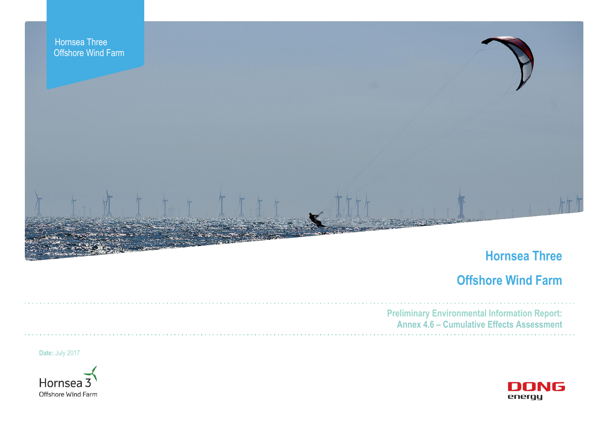

# **Hornsea Three**

# **Offshore Wind Farm**



**Preliminary Environmental Information Report: Annex 4.6 – Cumulative Effects Assessment**

**Date:** July 2017

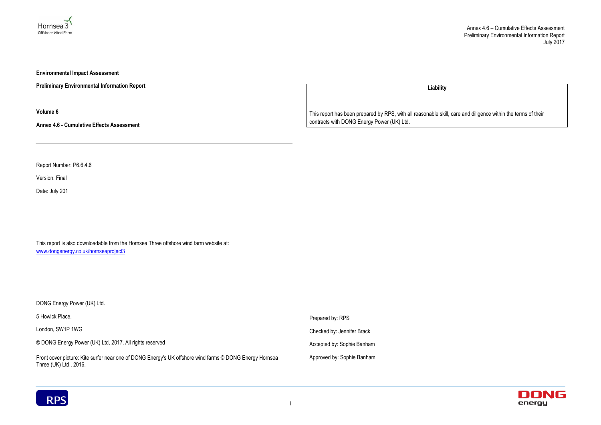#### Annex 4.6 – Cumulative Effects Assessment Preliminary Environmental Information Report July 2017





**Environmental Impact Assessment** 

**Preliminary Environmental Information Report**

**Volume 6**

**Annex 4.6 - Cumulative Effects Assessment**

Report Number: P6.6.4.6

Version: Final

Date: July 201

This report is also downloadable from the Hornsea Three offshore wind farm website at: www.dongenergy.co.uk/hornseaproject3

DONG Energy Power (UK) Ltd.

**Liability**

5 Howick Place, London, SW1P 1WG © DONG Energy Power (UK) Ltd, 2017. All rights reserved Front cover picture: Kite surfer near one of DONG Energy's UK offshore wind farms © DONG Energy Hornsea Three (UK) Ltd., 2016. Prepared by: RPS Checked by: Jennifer Brack Accepted by: Sophie Banham Approved by: Sophie Banham



This report has been prepared by RPS, with all reasonable skill, care and diligence within the terms of their contracts with DONG Energy Power (UK) Ltd.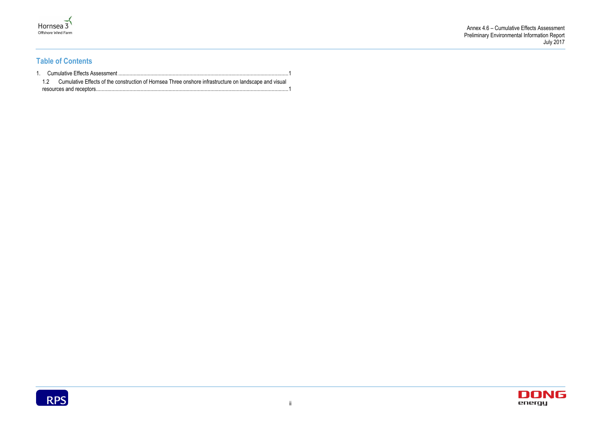



## **Table of Contents**

|  | 1.2 Cumulative Effects of the construction of Hornsea Three onshore infrastructure on landscape and visual |  |
|--|------------------------------------------------------------------------------------------------------------|--|
|  |                                                                                                            |  |

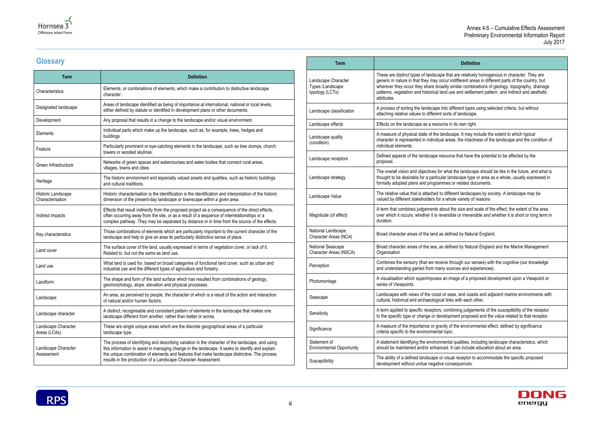#### Annex 4.6 – Cumulative Effects Assessment Preliminary Environmental Information Report July 2017

#### **Definition**

t are relatively homogenous in character. They are ndifferent areas in different parts of the country, but similar combinations of geology, topography, drainage se and settlement pattern, and indirect and aesthetic

ifferent types using selected criteria, but without of landscape.

Lits own right.

ape. It may include the extent to which typical as, the intactness of the landscape and the condition of

ce that have the potential to be affected by the

t the landscape should be like in the future, and what is ndscape type or area as a whole, usually expressed in or related documents.

rent landscapes by society. A landscape may be ble variety of reasons

the size and scale of the effect, the extent of the area ble or irreversible and whether it is short or long term in

ned by Natural England.

ned by Natural England and the Marine Management

Irough our senses) with the cognitive (our knowledge and experiences).

hage of a proposed development upon a Viewpoint or

as, and coasts and adjacent marine environments with s with each other.

bining judgements of the susceptibility of the receptor ment proposed and the value related to that receptor.

f the environmental effect, defined by significance

I qualities, including landscape characteristics, which t can include education about an area.

al receptor to accommodate the specific proposed sequences.





## **Glossary**

| <b>Term</b>                            | <b>Definition</b>                                                                                                                                                                                                                                                                                                                                                      |
|----------------------------------------|------------------------------------------------------------------------------------------------------------------------------------------------------------------------------------------------------------------------------------------------------------------------------------------------------------------------------------------------------------------------|
| Characteristics                        | Elements, or combinations of elements, which make a contribution to distinctive landscape<br>character.                                                                                                                                                                                                                                                                |
| Designated landscape                   | Areas of landscape identified as being of importance at international, national or local levels,<br>either defined by statute or identified in development plans or other documents.                                                                                                                                                                                   |
| Development                            | Any proposal that results in a change to the landscape and/or visual environment.                                                                                                                                                                                                                                                                                      |
| Elements                               | Individual parts which make up the landscape, such as, for example, trees, hedges and<br>buildings.                                                                                                                                                                                                                                                                    |
| Feature                                | Particularly prominent or eye-catching elements in the landscape, such as tree clumps, church<br>towers or wooded skylines.                                                                                                                                                                                                                                            |
| Green Infrastructure                   | Networks of green spaces and watercourses and water bodies that connect rural areas,<br>villages, towns and cities.                                                                                                                                                                                                                                                    |
| Heritage                               | The historic environment and especially valued assets and qualities, such as historic buildings<br>and cultural traditions.                                                                                                                                                                                                                                            |
| Historic Landscape<br>Characterisation | Historic characterisation is the identification is the identification and interpretation of the historic<br>dimension of the present-day landscape or townscape within a given area.                                                                                                                                                                                   |
| Indirect impacts                       | Effects that result indirectly from the proposed project as a consequence of the direct effects,<br>often occurring away from the site, or as a result of a sequence of interrelationships or a<br>complex pathway. They may be separated by distance or in time from the source of the effects.                                                                       |
| Key characteristics                    | Those combinations of elements which are particularly important to the current character of the<br>landscape and help to give an area its particularly distinctive sense of place.                                                                                                                                                                                     |
| Land cover                             | The surface cover of the land, usually expressed in terms of vegetation cover, or lack of it.<br>Related to, but not the same as land use.                                                                                                                                                                                                                             |
| Land use                               | What land is used for, based on broad categories of functional land cover, such as urban and<br>industrial use and the different types of agriculture and forestry.                                                                                                                                                                                                    |
| Landform                               | The shape and form of the land surface which has resulted from combinations of geology,<br>geomorphology, slope, elevation and physical processes.                                                                                                                                                                                                                     |
| Landscape                              | An area, as perceived by people, the character of which is a result of the action and interaction<br>of natural and/or human factors.                                                                                                                                                                                                                                  |
| Landscape character                    | A distinct, recognisable and consistent pattern of elements in the landscape that makes one<br>landscape different from another, rather than better or worse.                                                                                                                                                                                                          |
| Landscape Character<br>Areas (LCAs)    | These are single unique areas which are the discrete geographical areas of a particular<br>landscape type.                                                                                                                                                                                                                                                             |
| Landscape Character<br>Assessment      | The process of identifying and describing variation in the character of the landscape, and using<br>this information to assist in managing change in the landscape. It seeks to identify and explain<br>the unique combination of elements and features that make landscape distinctive. The process<br>results in the production of a Landscape Character Assessment. |

| <b>Term</b>                                                |                                                                                                                                                                                                      |
|------------------------------------------------------------|------------------------------------------------------------------------------------------------------------------------------------------------------------------------------------------------------|
| Landscape Character<br>Types /Landscape<br>typology (LCTs) | These are distinct types of landscape that<br>generic in nature in that they may occur in<br>wherever they occur they share broadly si<br>patterns, vegetation and historical land us<br>attributes. |
| Landscape classification                                   | A process of sorting the landscape into dif<br>attaching relative values to different sorts                                                                                                          |
| Landscape effects                                          | Effects on the landscape as a resource in                                                                                                                                                            |
| Landscape quality<br>(condition)                           | A measure of physical state of the landsca<br>character is represented in individual area<br>individual elements.                                                                                    |
| Landscape receptors                                        | Defined aspects of the landscape resource<br>proposal.                                                                                                                                               |
| Landscape strategy                                         | The overall vision and objectives for what<br>thought to be desirable for a particular land<br>formally adopted plans and programmes c                                                               |
| Landscape Value                                            | The relative value that is attached to differ<br>valued by different stakeholders for a who                                                                                                          |
| Magnitude (of effect)                                      | A term that combines judgements about th<br>over which it occurs, whether it is reversib<br>duration.                                                                                                |
| National Landscape<br>Character Areas (NCA)                | Broad character areas of the land as defin                                                                                                                                                           |
| National Seascape<br>Character Areas (NSCA)                | Broad character areas of the sea, as defin<br>Organisation                                                                                                                                           |
| Perception                                                 | Combines the sensory (that we receive thi<br>and understanding gained from many soul                                                                                                                 |
| Photomontage                                               | A visualisation which superimposes an ima<br>series of Viewpoints.                                                                                                                                   |
| Seascape                                                   | Landscapes with views of the coast or sea<br>cultural, historical and archaeological links                                                                                                           |
| Sensitivity                                                | A term applied to specific receptors, comb<br>to the specific type or change or developm                                                                                                             |
| Significance                                               | A measure of the importance or gravity of<br>criteria specific to the environmental topic.                                                                                                           |
| Statement of<br><b>Environmental Opportunity</b>           | A statement identifying the environmental<br>should be maintained and/or enhanced. It                                                                                                                |
| Susceptibility                                             | The ability of a defined landscape or visua<br>development without undue negative cons                                                                                                               |

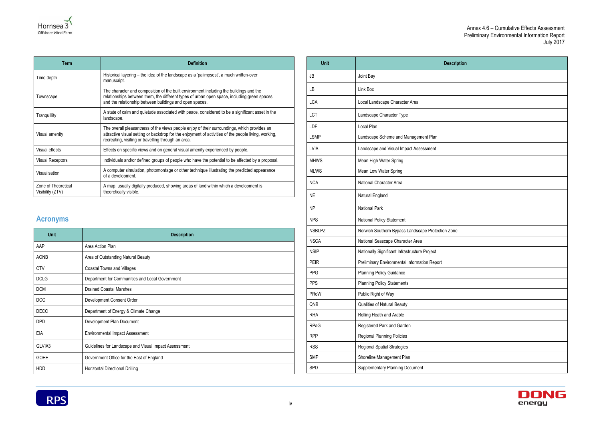### Annex 4.6 – Cumulative Effects Assessment Preliminary Environmental Information Report July 2017

| ription |  |
|---------|--|
|         |  |
|         |  |
|         |  |
|         |  |
|         |  |
|         |  |
|         |  |
|         |  |
|         |  |
|         |  |
|         |  |
|         |  |
|         |  |
| e       |  |
|         |  |
|         |  |
|         |  |
|         |  |
|         |  |
|         |  |
|         |  |
|         |  |
|         |  |
|         |  |
|         |  |





| <b>Term</b>                             | <b>Definition</b>                                                                                                                                                                                                                                          |
|-----------------------------------------|------------------------------------------------------------------------------------------------------------------------------------------------------------------------------------------------------------------------------------------------------------|
| Time depth                              | Historical layering – the idea of the landscape as a 'palimpsest', a much written-over<br>manuscript.                                                                                                                                                      |
| Townscape                               | The character and composition of the built environment including the buildings and the<br>relationships between them, the different types of urban open space, including green spaces,<br>and the relationship between buildings and open spaces.          |
| Tranquillity                            | A state of calm and quietude associated with peace, considered to be a significant asset in the<br>landscape.                                                                                                                                              |
| Visual amenity                          | The overall pleasantness of the views people enjoy of their surroundings, which provides an<br>attractive visual setting or backdrop for the enjoyment of activities of the people living, working,<br>recreating, visiting or travelling through an area. |
| Visual effects                          | Effects on specific views and on general visual amenity experienced by people.                                                                                                                                                                             |
| <b>Visual Receptors</b>                 | Individuals and/or defined groups of people who have the potential to be affected by a proposal.                                                                                                                                                           |
| Visualisation                           | A computer simulation, photomontage or other technique illustrating the predicted appearance<br>of a development.                                                                                                                                          |
| Zone of Theoretical<br>Visibility (ZTV) | A map, usually digitally produced, showing areas of land within which a development is<br>theoretically visible.                                                                                                                                           |

## **Acronyms**

| <b>Unit</b> | <b>Description</b>                                    |
|-------------|-------------------------------------------------------|
| AAP         | Area Action Plan                                      |
| <b>AONB</b> | Area of Outstanding Natural Beauty                    |
| <b>CTV</b>  | <b>Coastal Towns and Villages</b>                     |
| <b>DCLG</b> | Department for Communities and Local Government       |
| <b>DCM</b>  | <b>Drained Coastal Marshes</b>                        |
| DCO         | Development Consent Order                             |
| <b>DECC</b> | Department of Energy & Climate Change                 |
| DPD         | Development Plan Document                             |
| EIA         | <b>Environmental Impact Assessment</b>                |
| GLVIA3      | Guidelines for Landscape and Visual Impact Assessment |
| <b>GOEE</b> | Government Office for the East of England             |
| <b>HDD</b>  | Horizontal Directional Drilling                       |

| <b>Unit</b>   | <b>Description</b>                                |
|---------------|---------------------------------------------------|
| JB            | Joint Bay                                         |
| LB            | Link Box                                          |
| <b>LCA</b>    | Local Landscape Character Area                    |
| LCT           | Landscape Character Type                          |
| LDF           | Local Plan                                        |
| <b>LSMP</b>   | Landscape Scheme and Management Plan              |
| <b>LVIA</b>   | Landscape and Visual Impact Assessment            |
| <b>MHWS</b>   | Mean High Water Spring                            |
| <b>MLWS</b>   | Mean Low Water Spring                             |
| <b>NCA</b>    | National Character Area                           |
| <b>NE</b>     | Natural England                                   |
| <b>NP</b>     | <b>National Park</b>                              |
| <b>NPS</b>    | National Policy Statement                         |
| <b>NSBLPZ</b> | Norwich Southern Bypass Landscape Protection Zone |
| <b>NSCA</b>   | National Seascape Character Area                  |
| <b>NSIP</b>   | Nationally Significant Infrastructure Project     |
| <b>PEIR</b>   | Preliminary Environmental Information Report      |
| <b>PPG</b>    | <b>Planning Policy Guidance</b>                   |
| <b>PPS</b>    | <b>Planning Policy Statements</b>                 |
| <b>PRoW</b>   | Public Right of Way                               |
| QNB           | <b>Qualities of Natural Beauty</b>                |
| <b>RHA</b>    | Rolling Heath and Arable                          |
| <b>RPaG</b>   | Registered Park and Garden                        |
| <b>RPP</b>    | Regional Planning Policies                        |
| <b>RSS</b>    | <b>Regional Spatial Strategies</b>                |
| <b>SMP</b>    | Shoreline Management Plan                         |
| <b>SPD</b>    | <b>Supplementary Planning Document</b>            |

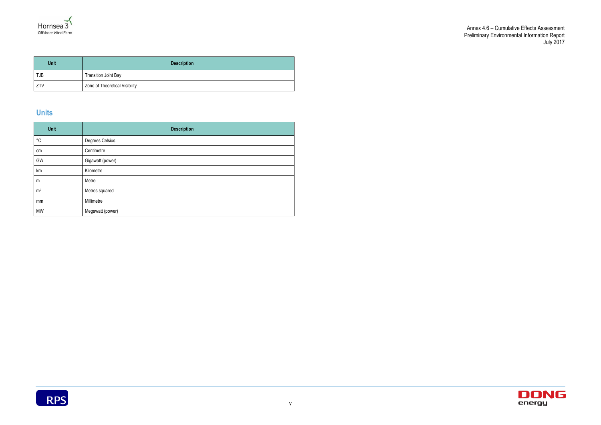



| <b>Unit</b> | <b>Description</b>             |
|-------------|--------------------------------|
| TJB         | Transition Joint Bay           |
| ZTV         | Zone of Theoretical Visibility |

## **Units**

| <b>Unit</b>       | <b>Description</b> |
|-------------------|--------------------|
| $^{\circ}{\rm C}$ | Degrees Celsius    |
| cm                | Centimetre         |
| GW                | Gigawatt (power)   |
| km                | Kilometre          |
| m                 | Metre              |
| m <sup>2</sup>    | Metres squared     |
| mm                | Millimetre         |
| <b>MW</b>         | Megawatt (power)   |

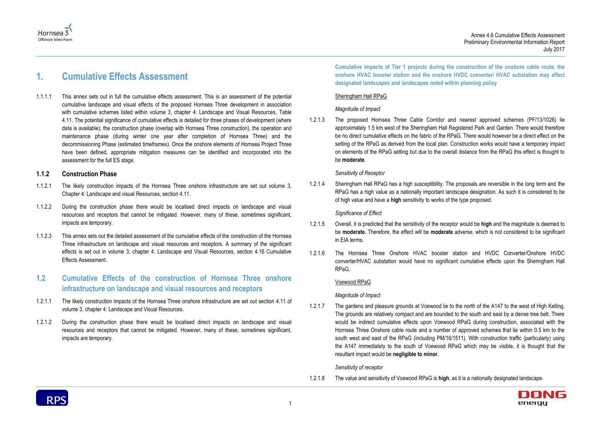



## <span id="page-6-0"></span>**1. Cumulative Effects Assessment**

1.1.1.1 This annex sets out in full the cumulative effects assessment. This is an assessment of the potential cumulative landscape and visual effects of the proposed Hornsea Three development in association with cumulative schemes listed within volume 3, chapter 4: Landscape and Visual Resources, Table 4.11. The potential significance of cumulative effects is detailed for three phases of development (where data is available); the construction phase (overlap with Hornsea Three construction), the operation and maintenance phase (during winter one year after completion of Hornsea Three) and the decommissioning Phase (estimated timeframes). Once the onshore elements of Hornsea Project Three have been defined, appropriate mitigation measures can be identified and incorporated into the assessment for the full ES stage.

#### **1.1.2 Construction Phase**

- 1.1.2.1 The likely construction impacts of the Hornsea Three onshore infrastructure are set out volume 3, Chapter 4: Landscape and visual Resources, section 4.11.
- 1.1.2.2 During the construction phase there would be localised direct impacts on landscape and visual resources and receptors that cannot be mitigated. However, many of these, sometimes significant, impacts are temporary.
- 1.1.2.3 This annex sets out the detailed assessment of the cumulative effects of the construction of the Hornsea Three infrastructure on landscape and visual resources and receptors. A summary of the significant effects is set out in volume 3, chapter 4: Landscape and Visual Resources, section 4.16 Cumulative Effects Assessment.

## <span id="page-6-1"></span>**1.2 Cumulative Effects of the construction of Hornsea Three onshore infrastructure on landscape and visual resources and receptors**

- 1.2.1.1 The likely construction impacts of the Hornsea Three onshore infrastructure are set out section 4.11 of volume 3, chapter 4: Landscape and Visual Resources.
- 1.2.1.2 During the construction phase there would be localised direct impacts on landscape and visual resources and receptors that cannot be mitigated. However, many of these, sometimes significant, impacts are temporary.

**Cumulative impacts of Tier 1 projects during the construction of the onshore cable route, the onshore HVAC booster station and the onshore HVDC converter/ HVAC substation may affect designated landscapes and landscapes noted within planning policy** 

#### Sheringham Hall RPaG

#### *Magnitude of Impact*

1.2.1.3 The proposed Hornsea Three Cable Corridor and nearest approved schemes (PF/13/1026) lie approximately 1.5 km west of the Sheringham Hall Registered Park and Garden. There would therefore be no direct cumulative effects on the fabric of the RPaG. There would however be a direct effect on the setting of the RPaG as derived from the local plan. Construction works would have a temporary impact on elements of the RPaG setting but due to the overall distance from the RPaG this effect is thought to be **moderate**.

#### *Sensitivity of Receptor*

1.2.1.4 Sheringham Hall RPaG has a high susceptibility. The proposals are reversible in the long term and the RPaG has a high value as a nationally important landscape designation. As such it is considered to be of high value and have a **high** sensitivity to works of the type proposed.

#### *Significance of Effect*

- 1.2.1.5 Overall, it is predicted that the sensitivity of the receptor would be **high** and the magnitude is deemed to be **moderate.** Therefore, the effect will be **moderate** adverse, which is not considered to be significant in EIA terms.
- 1.2.1.6 The Hornsea Three Onshore HVAC booster station and HVDC Converter/Onshore HVDC converter/HVAC substation would have no significant cumulative effects upon the Sheringham Hall RPaG.

#### Voewood RPaG

#### *Magnitude of Impact*

1.2.1.7 The gardens and pleasure grounds at Voewood lie to the north of the A147 to the west of High Kelling. The grounds are relatively compact and are bounded to the south and east by a dense tree belt. There would be indirect cumulative effects upon Voewood RPaG during construction, associated with the Hornsea Three Onshore cable route and a number of approved schemes that lie within 0.5 km to the south west and east of the RPaG (including PM/16/1511). With construction traffic (particularly) using the A147 immediately to the south of Voewood RPaG which may be visible, it is thought that the resultant impact would be **negligible to minor**.

#### *Sensitivity of receptor*

1.2.1.8 The value and sensitivity of Voewood RPaG is **high**, as it is a nationally designated landscape.

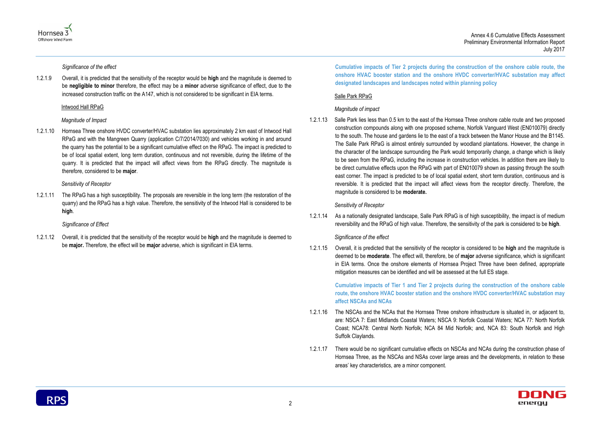Annex 4.6 Cumulative Effects Assessment Preliminary Environmental Information Report July 2017





*Significance of the effect*

1.2.1.9 Overall, it is predicted that the sensitivity of the receptor would be **high** and the magnitude is deemed to be **negligible to minor** therefore, the effect may be a **minor** adverse significance of effect, due to the increased construction traffic on the A147, which is not considered to be significant in EIA terms.

#### Intwood Hall RPaG

#### *Magnitude of Impact*

1.2.1.10 Hornsea Three onshore HVDC converter/HVAC substation lies approximately 2 km east of Intwood Hall RPaG and with the Mangreen Quarry (application C/7/2014/7030) and vehicles working in and around the quarry has the potential to be a significant cumulative effect on the RPaG. The impact is predicted to be of local spatial extent, long term duration, continuous and not reversible, during the lifetime of the quarry. It is predicted that the impact will affect views from the RPaG directly. The magnitude is therefore, considered to be **major**.

#### *Sensitivity of Receptor*

1.2.1.11 The RPaG has a high susceptibility. The proposals are reversible in the long term (the restoration of the quarry) and the RPaG has a high value. Therefore, the sensitivity of the Intwood Hall is considered to be **high**.

#### *Significance of Effect*

1.2.1.12 Overall, it is predicted that the sensitivity of the receptor would be **high** and the magnitude is deemed to be **major.** Therefore, the effect will be **major** adverse, which is significant in EIA terms.

**Cumulative impacts of Tier 2 projects during the construction of the onshore cable route, the onshore HVAC booster station and the onshore HVDC converter/HVAC substation may affect designated landscapes and landscapes noted within planning policy** 

### Salle Park RPaG

### *Magnitude of impact*

1.2.1.13 Salle Park lies less than 0.5 km to the east of the Hornsea Three onshore cable route and two proposed construction compounds along with one proposed scheme, Norfolk Vanguard West (EN010079) directly to the south. The house and gardens lie to the east of a track between the Manor House and the B1145. The Salle Park RPaG is almost entirely surrounded by woodland plantations. However, the change in the character of the landscape surrounding the Park would temporarily change, a change which is likely to be seen from the RPaG, including the increase in construction vehicles. In addition there are likely to be direct cumulative effects upon the RPaG with part of EN010079 shown as passing through the south east corner. The impact is predicted to be of local spatial extent, short term duration, continuous and is reversible. It is predicted that the impact will affect views from the receptor directly. Therefore, the magnitude is considered to be **moderate.**

### *Sensitivity of Receptor*

1.2.1.14 As a nationally designated landscape, Salle Park RPaG is of high susceptibility, the impact is of medium reversibility and the RPaG of high value. Therefore, the sensitivity of the park is considered to be **high**.

### *Significance of the effect*

1.2.1.15 Overall, it is predicted that the sensitivity of the receptor is considered to be **high** and the magnitude is deemed to be **moderate**. The effect will, therefore, be of **major** adverse significance, which is significant in EIA terms. Once the onshore elements of Hornsea Project Three have been defined, appropriate mitigation measures can be identified and will be assessed at the full ES stage.

**Cumulative impacts of Tier 1 and Tier 2 projects during the construction of the onshore cable route, the onshore HVAC booster station and the onshore HVDC converter/HVAC substation may affect NSCAs and NCAs** 

- 1.2.1.16 The NSCAs and the NCAs that the Hornsea Three onshore infrastructure is situated in, or adjacent to, are: NSCA 7: East Midlands Coastal Waters; NSCA 9: Norfolk Coastal Waters; NCA 77: North Norfolk Coast; NCA78: Central North Norfolk; NCA 84 Mid Norfolk; and, NCA 83: South Norfolk and High Suffolk Claylands.
- 1.2.1.17 There would be no significant cumulative effects on NSCAs and NCAs during the construction phase of Hornsea Three, as the NSCAs and NSAs cover large areas and the developments, in relation to these areas' key characteristics, are a minor component.

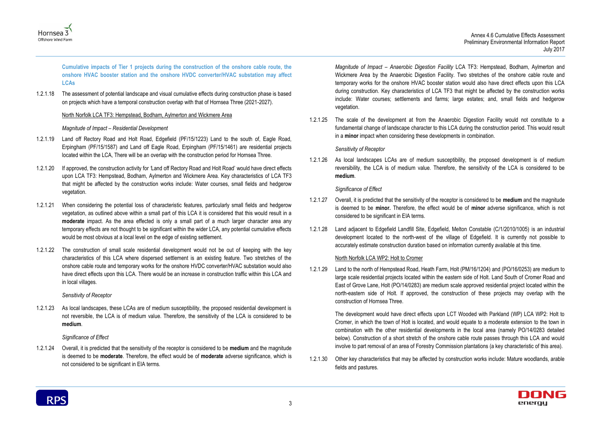



**Cumulative impacts of Tier 1 projects during the construction of the onshore cable route, the onshore HVAC booster station and the onshore HVDC converter/HVAC substation may affect LCAs** 

1.2.1.18 The assessment of potential landscape and visual cumulative effects during construction phase is based on projects which have a temporal construction overlap with that of Hornsea Three (2021-2027).

#### North Norfolk LCA TF3: Hempstead, Bodham, Aylmerton and Wickmere Area

#### *Magnitude of Impact – Residential Development*

- 1.2.1.19 Land off Rectory Road and Holt Road, Edgefield (PF/15/1223) Land to the south of, Eagle Road, Erpingham (PF/15/1587) and Land off Eagle Road, Erpingham (PF/15/1461) are residential projects located within the LCA, There will be an overlap with the construction period for Hornsea Three.
- 1.2.1.20 If approved, the construction activity for *'*Land off Rectory Road and Holt Road' would have direct effects upon LCA TF3: Hempstead, Bodham, Aylmerton and Wickmere Area. Key characteristics of LCA TF3 that might be affected by the construction works include: Water courses, small fields and hedgerow vegetation.
- 1.2.1.21 When considering the potential loss of characteristic features, particularly small fields and hedgerow vegetation, as outlined above within a small part of this LCA it is considered that this would result in a **moderate** impact. As the area effected is only a small part of a much larger character area any temporary effects are not thought to be significant within the wider LCA, any potential cumulative effects would be most obvious at a local level on the edge of existing settlement.
- 1.2.1.22 The construction of small scale residential development would not be out of keeping with the key characteristics of this LCA where dispersed settlement is an existing feature. Two stretches of the onshore cable route and temporary works for the onshore HVDC converter/HVAC substation would also have direct effects upon this LCA. There would be an increase in construction traffic within this LCA and in local villages.

*Sensitivity of Receptor*

1.2.1.23 As local landscapes, these LCAs are of medium susceptibility, the proposed residential development is not reversible, the LCA is of medium value. Therefore, the sensitivity of the LCA is considered to be **medium**.

#### *Significance of Effect*

1.2.1.24 Overall, it is predicted that the sensitivity of the receptor is considered to be **medium** and the magnitude is deemed to be **moderate**. Therefore, the effect would be of **moderate** adverse significance, which is not considered to be significant in EIA terms.

*Magnitude of Impact – Anaerobic Digestion Facility* LCA TF3: Hempstead, Bodham, Aylmerton and Wickmere Area by the Anaerobic Digestion Facility. Two stretches of the onshore cable route and temporary works for the onshore HVAC booster station would also have direct effects upon this LCA during construction. Key characteristics of LCA TF3 that might be affected by the construction works include: Water courses; settlements and farms; large estates; and, small fields and hedgerow vegetation.

1.2.1.25 The scale of the development at from the Anaerobic Digestion Facility would not constitute to a fundamental change of landscape character to this LCA during the construction period. This would result in a **minor** impact when considering these developments in combination.

#### *Sensitivity of Receptor*

1.2.1.26 As local landscapes LCAs are of medium susceptibility, the proposed development is of medium reversibility, the LCA is of medium value. Therefore, the sensitivity of the LCA is considered to be **medium**.

#### *Significance of Effect*

- 1.2.1.27 Overall, it is predicted that the sensitivity of the receptor is considered to be **medium** and the magnitude is deemed to be **minor.** Therefore, the effect would be of **minor** adverse significance, which is not considered to be significant in EIA terms.
- 1.2.1.28 Land adjacent to Edgefield Landfill Site, Edgefield, Melton Constable (C/1/2010/1005) is an industrial development located to the north-west of the village of Edgefield. It is currently not possible to accurately estimate construction duration based on information currently available at this time.

#### North Norfolk LCA WP2: Holt to Cromer

1.2.1.29 Land to the north of Hempstead Road, Heath Farm, Holt (PM/16/1204) and (PO/16/0253) are medium to large scale residential projects located within the eastern side of Holt. Land South of Cromer Road and East of Grove Lane, Holt (PO/14/0283) are medium scale approved residential project located within the north-eastern side of Holt. If approved, the construction of these projects may overlap with the construction of Hornsea Three.

The development would have direct effects upon LCT Wooded with Parkland (WP) LCA WP2: Holt to Cromer, in which the town of Holt is located, and would equate to a moderate extension to the town in combination with the other residential developments in the local area (namely PO/14/0283 detailed below). Construction of a short stretch of the onshore cable route passes through this LCA and would involve to part removal of an area of Forestry Commission plantations (a key characteristic of this area).

1.2.1.30 Other key characteristics that may be affected by construction works include: Mature woodlands, arable fields and pastures.

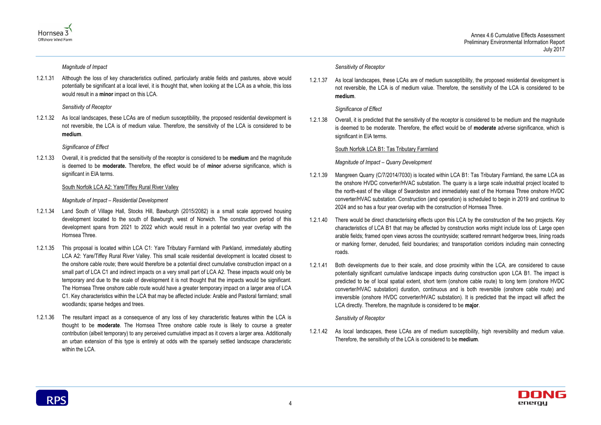



*Magnitude of Impact*

1.2.1.31 Although the loss of key characteristics outlined, particularly arable fields and pastures, above would potentially be significant at a local level, it is thought that, when looking at the LCA as a whole, this loss would result in a **minor** impact on this LCA.

1.2.1.33 Overall, it is predicted that the sensitivity of the receptor is considered to be **medium** and the magnitude is deemed to be **moderate.** Therefore, the effect would be of **minor** adverse significance, which is significant in EIA terms.

#### *Sensitivity of Receptor*

1.2.1.32 As local landscapes, these LCAs are of medium susceptibility, the proposed residential development is not reversible, the LCA is of medium value. Therefore, the sensitivity of the LCA is considered to be **medium**.

### *Significance of Effect*

### South Norfolk LCA A2: Yare/Tiffey Rural River Valley

### *Magnitude of Impact – Residential Development*

1.2.1.38 Overall, it is predicted that the sensitivity of the receptor is considered to be medium and the magnitude is deemed to be moderate. Therefore, the effect would be of **moderate** adverse significance, which is significant in EIA terms.

- 1.2.1.34 Land South of Village Hall, Stocks Hill, Bawburgh (2015/2082) is a small scale approved housing development located to the south of Bawburgh, west of Norwich. The construction period of this development spans from 2021 to 2022 which would result in a potential two year overlap with the Hornsea Three.
- 1.2.1.35 This proposal is located within LCA C1: Yare Tributary Farmland with Parkland, immediately abutting LCA A2: Yare/Tiffey Rural River Valley. This small scale residential development is located closest to the onshore cable route; there would therefore be a potential direct cumulative construction impact on a small part of LCA C1 and indirect impacts on a very small part of LCA A2. These impacts would only be temporary and due to the scale of development it is not thought that the impacts would be significant. The Hornsea Three onshore cable route would have a greater temporary impact on a larger area of LCA C1. Key characteristics within the LCA that may be affected include: Arable and Pastoral farmland; small woodlands; sparse hedges and trees.
- 1.2.1.36 The resultant impact as a consequence of any loss of key characteristic features within the LCA is thought to be **moderate**. The Hornsea Three onshore cable route is likely to course a greater contribution (albeit temporary) to any perceived cumulative impact as it covers a larger area. Additionally an urban extension of this type is entirely at odds with the sparsely settled landscape characteristic within the LCA.

### *Sensitivity of Receptor*

1.2.1.37 As local landscapes, these LCAs are of medium susceptibility, the proposed residential development is not reversible, the LCA is of medium value. Therefore, the sensitivity of the LCA is considered to be **medium**.

### *Significance of Effect*

### South Norfolk LCA B1: Tas Tributary Farmland

### *Magnitude of Impact – Quarry Development*

- 1.2.1.39 Mangreen Quarry (C/7/2014/7030) is located within LCA B1: Tas Tributary Farmland, the same LCA as the onshore HVDC converter/HVAC substation. The quarry is a large scale industrial project located to the north-east of the village of Swardeston and immediately east of the Hornsea Three onshore HVDC converter/HVAC substation. Construction (and operation) is scheduled to begin in 2019 and continue to 2024 and so has a four year overlap with the construction of Hornsea Three.
- 1.2.1.40 There would be direct characterising effects upon this LCA by the construction of the two projects. Key characteristics of LCA B1 that may be affected by construction works might include loss of: Large open arable fields; framed open views across the countryside; scattered remnant hedgerow trees, lining roads or marking former, denuded, field boundaries; and transportation corridors including main connecting roads.
- 1.2.1.41 Both developments due to their scale, and close proximity within the LCA, are considered to cause potentially significant cumulative landscape impacts during construction upon LCA B1. The impact is predicted to be of local spatial extent, short term (onshore cable route) to long term (onshore HVDC converter/HVAC substation) duration, continuous and is both reversible (onshore cable route) and irreversible (onshore HVDC converter/HVAC substation). It is predicted that the impact will affect the LCA directly. Therefore, the magnitude is considered to be **major**.

#### *Sensitivity of Receptor*

1.2.1.42 As local landscapes, these LCAs are of medium susceptibility, high reversibility and medium value. Therefore, the sensitivity of the LCA is considered to be **medium**.

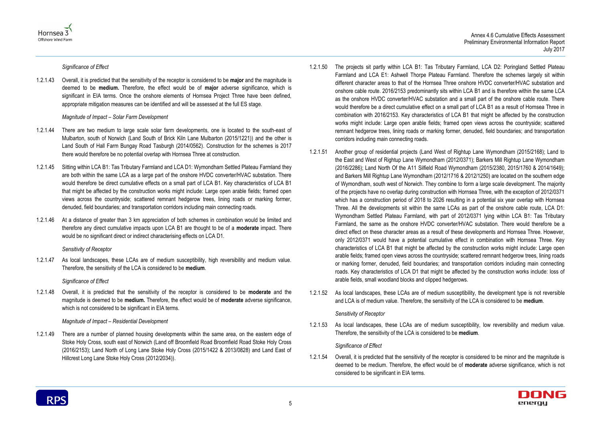



*Significance of Effect*

1.2.1.43 Overall, it is predicted that the sensitivity of the receptor is considered to be **major** and the magnitude is deemed to be **medium.** Therefore, the effect would be of **major** adverse significance, which is significant in EIA terms. Once the onshore elements of Hornsea Project Three have been defined, appropriate mitigation measures can be identified and will be assessed at the full ES stage.

#### *Magnitude of Impact – Solar Farm Development*

- 1.2.1.44 There are two medium to large scale solar farm developments, one is located to the south-east of Mulbarton, south of Norwich (Land South of Brick Kiln Lane Mulbarton (2015/1221)) and the other is Land South of Hall Farm Bungay Road Tasburgh (2014/0562). Construction for the schemes is 2017 there would therefore be no potential overlap with Hornsea Three at construction.
- 1.2.1.45 Sitting within LCA B1: Tas Tributary Farmland and LCA D1: Wymondham Settled Plateau Farmland they are both within the same LCA as a large part of the onshore HVDC converter/HVAC substation. There would therefore be direct cumulative effects on a small part of LCA B1. Key characteristics of LCA B1 that might be affected by the construction works might include: Large open arable fields; framed open views across the countryside; scattered remnant hedgerow trees, lining roads or marking former, denuded, field boundaries; and transportation corridors including main connecting roads.
- 1.2.1.46 At a distance of greater than 3 km appreciation of both schemes in combination would be limited and therefore any direct cumulative impacts upon LCA B1 are thought to be of a **moderate** impact. There would be no significant direct or indirect characterising effects on LCA D1.

#### *Sensitivity of Receptor*

1.2.1.47 As local landscapes, these LCAs are of medium susceptibility, high reversibility and medium value. Therefore, the sensitivity of the LCA is considered to be **medium**.

#### *Significance of Effect*

1.2.1.48 Overall, it is predicted that the sensitivity of the receptor is considered to be **moderate** and the magnitude is deemed to be **medium.** Therefore, the effect would be of **moderate** adverse significance, which is not considered to be significant in EIA terms.

#### *Magnitude of Impact – Residential Development*

1.2.1.49 There are a number of planned housing developments within the same area, on the eastern edge of Stoke Holy Cross, south east of Norwich (Land off Broomfield Road Broomfield Road Stoke Holy Cross (2016/2153); Land North of Long Lane Stoke Holy Cross (2015/1422 & 2013/0828) and Land East of Hillcrest Long Lane Stoke Holy Cross (2012/2034)).

- 1.2.1.50 The projects sit partly within LCA B1: Tas Tributary Farmland, LCA D2: Poringland Settled Plateau Farmland and LCA E1: Ashwell Thorpe Plateau Farmland. Therefore the schemes largely sit within different character areas to that of the Hornsea Three onshore HVDC converter/HVAC substation and onshore cable route. 2016/2153 predominantly sits within LCA B1 and is therefore within the same LCA as the onshore HVDC converter/HVAC substation and a small part of the onshore cable route. There would therefore be a direct cumulative effect on a small part of LCA B1 as a result of Hornsea Three in combination with 2016/2153. Key characteristics of LCA B1 that might be affected by the construction works might include: Large open arable fields; framed open views across the countryside; scattered remnant hedgerow trees, lining roads or marking former, denuded, field boundaries; and transportation corridors including main connecting roads.
- 1.2.1.51 Another group of residential projects (Land West of Rightup Lane Wymondham (2015/2168); Land to the East and West of Rightup Lane Wymondham (2012/0371); Barkers Mill Rightup Lane Wymondham (2016/2286); Land North Of the A11 Silfield Road Wymondham (2015/2380, 2015/1760 & 2014/1649); and Barkers Mill Rightup Lane Wymondham (2012/1716 & 2012/1250) are located on the southern edge of Wymondham, south west of Norwich. They combine to form a large scale development. The majority of the projects have no overlap during construction with Hornsea Three, with the exception of 2012/0371 which has a construction period of 2018 to 2026 resulting in a potential six year overlap with Hornsea Three. All the developments sit within the same LCAs as part of the onshore cable route, LCA D1: Wymondham Settled Plateau Farmland, with part of 2012/0371 lying within LCA B1: Tas Tributary Farmland, the same as the onshore HVDC converter/HVAC substation. There would therefore be a direct effect on these character areas as a result of these developments and Hornsea Three. However, only 2012/0371 would have a potential cumulative effect in combination with Hornsea Three. Key characteristics of LCA B1 that might be affected by the construction works might include: Large open arable fields; framed open views across the countryside; scattered remnant hedgerow trees, lining roads or marking former, denuded, field boundaries; and transportation corridors including main connecting roads. Key characteristics of LCA D1 that might be affected by the construction works include: loss of arable fields, small woodland blocks and clipped hedgerows.
- 1.2.1.52 As local landscapes, these LCAs are of medium susceptibility, the development type is not reversible and LCA is of medium value. Therefore, the sensitivity of the LCA is considered to be **medium**.

#### *Sensitivity of Receptor*

1.2.1.53 As local landscapes, these LCAs are of medium susceptibility, low reversibility and medium value. Therefore, the sensitivity of the LCA is considered to be **medium**.

#### *Significance of Effect*

1.2.1.54 Overall, it is predicted that the sensitivity of the receptor is considered to be minor and the magnitude is deemed to be medium. Therefore, the effect would be of **moderate** adverse significance, which is not considered to be significant in EIA terms.

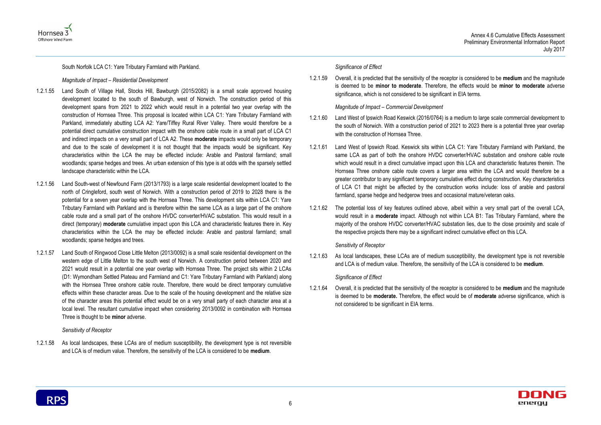



South Norfolk LCA C1: Yare Tributary Farmland with Parkland.

#### *Magnitude of Impact – Residential Development*

- 1.2.1.55 Land South of Village Hall, Stocks Hill, Bawburgh (2015/2082) is a small scale approved housing development located to the south of Bawburgh, west of Norwich. The construction period of this development spans from 2021 to 2022 which would result in a potential two year overlap with the construction of Hornsea Three. This proposal is located within LCA C1: Yare Tributary Farmland with Parkland, immediately abutting LCA A2: Yare/Tiffey Rural River Valley. There would therefore be a potential direct cumulative construction impact with the onshore cable route in a small part of LCA C1 and indirect impacts on a very small part of LCA A2. These **moderate** impacts would only be temporary and due to the scale of development it is not thought that the impacts would be significant. Key characteristics within the LCA the may be effected include: Arable and Pastoral farmland; small woodlands; sparse hedges and trees. An urban extension of this type is at odds with the sparsely settled landscape characteristic within the LCA.
- 1.2.1.56 Land South-west of Newfound Farm (2013/1793) is a large scale residential development located to the north of Cringleford, south west of Norwich. With a construction period of 2019 to 2028 there is the potential for a seven year overlap with the Hornsea Three. This development sits within LCA C1: Yare Tributary Farmland with Parkland and is therefore within the same LCA as a large part of the onshore cable route and a small part of the onshore HVDC converter/HVAC substation. This would result in a direct (temporary) **moderate** cumulative impact upon this LCA and characteristic features there in. Key characteristics within the LCA the may be effected include: Arable and pastoral farmland; small woodlands; sparse hedges and trees.
- 1.2.1.57 Land South of Ringwood Close Little Melton (2013/0092) is a small scale residential development on the western edge of Little Melton to the south west of Norwich. A construction period between 2020 and 2021 would result in a potential one year overlap with Hornsea Three. The project sits within 2 LCAs (D1: Wymondham Settled Plateau and Farmland and C1: Yare Tributary Farmland with Parkland) along with the Hornsea Three onshore cable route. Therefore, there would be direct temporary cumulative effects within these character areas. Due to the scale of the housing development and the relative size of the character areas this potential effect would be on a very small party of each character area at a local level. The resultant cumulative impact when considering 2013/0092 in combination with Hornsea Three is thought to be **minor** adverse.

#### *Sensitivity of Receptor*

1.2.1.58 As local landscapes, these LCAs are of medium susceptibility, the development type is not reversible and LCA is of medium value. Therefore, the sensitivity of the LCA is considered to be **medium**.

#### *Significance of Effect*

1.2.1.59 Overall, it is predicted that the sensitivity of the receptor is considered to be **medium** and the magnitude is deemed to be **minor to moderate**. Therefore, the effects would be **minor to moderate** adverse significance, which is not considered to be significant in EIA terms.

*Magnitude of Impact – Commercial Development*

- 1.2.1.60 Land West of Ipswich Road Keswick (2016/0764) is a medium to large scale commercial development to the south of Norwich. With a construction period of 2021 to 2023 there is a potential three year overlap with the construction of Hornsea Three.
- 1.2.1.61 Land West of Ipswich Road. Keswick sits within LCA C1: Yare Tributary Farmland with Parkland, the same LCA as part of both the onshore HVDC converter/HVAC substation and onshore cable route which would result in a direct cumulative impact upon this LCA and characteristic features therein. The Hornsea Three onshore cable route covers a larger area within the LCA and would therefore be a greater contributor to any significant temporary cumulative effect during construction. Key characteristics of LCA C1 that might be affected by the construction works include: loss of arable and pastoral farmland, sparse hedge and hedgerow trees and occasional mature/veteran oaks.
- 1.2.1.62 The potential loss of key features outlined above, albeit within a very small part of the overall LCA, would result in a **moderate** impact. Although not within LCA B1: Tas Tributary Farmland, where the majority of the onshore HVDC converter/HVAC substation lies, due to the close proximity and scale of the respective projects there may be a significant indirect cumulative effect on this LCA.

#### *Sensitivity of Receptor*

1.2.1.63 As local landscapes, these LCAs are of medium susceptibility, the development type is not reversible and LCA is of medium value. Therefore, the sensitivity of the LCA is considered to be **medium**.

#### *Significance of Effect*

1.2.1.64 Overall, it is predicted that the sensitivity of the receptor is considered to be **medium** and the magnitude is deemed to be **moderate.** Therefore, the effect would be of **moderate** adverse significance, which is not considered to be significant in EIA terms.

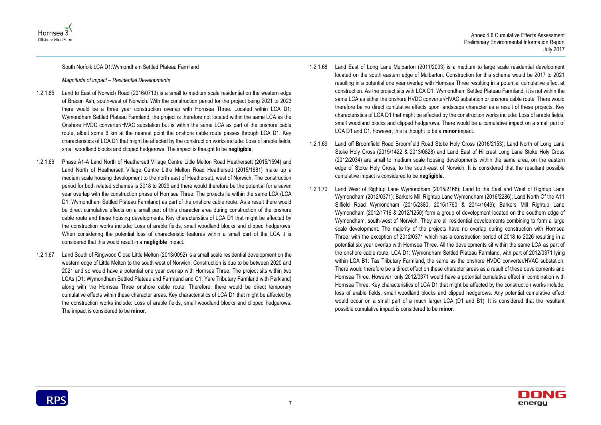



#### South Norfolk LCA D1:Wymondham Settled Plateau Farmland

*Magnitude of impact – Residential Developments*

- 1.2.1.65 Land to East of Norwich Road (2016/0713) is a small to medium scale residential on the western edge of Bracon Ash, south-west of Norwich. With the construction period for the project being 2021 to 2023 there would be a three year construction overlap with Hornsea Three. Located within LCA D1: Wymondham Settled Plateau Farmland, the project is therefore not located within the same LCA as the Onshore HVDC converter/HVAC substation but is within the same LCA as part of the onshore cable route, albeit some 6 km at the nearest point the onshore cable route passes through LCA D1. Key characteristics of LCA D1 that might be affected by the construction works include: Loss of arable fields, small woodland blocks and clipped hedgerows. The impact is thought to be **negligible**.
- 1.2.1.66 Phase A1-A Land North of Heathersett Village Centre Little Melton Road Heathersett (2015/1594) and Land North of Heathersett Village Centre Little Melton Road Heathersett (2015/1681) make up a medium scale housing development to the north east of Heathersett, west of Norwich. The construction period for both related schemes is 2018 to 2029 and there would therefore be the potential for a seven year overlap with the construction phase of Hornsea Three. The projects lie within the same LCA (LCA D1: Wymondham Settled Plateau Farmland) as part of the onshore cable route. As a result there would be direct cumulative effects on a small part of this character area during construction of the onshore cable route and these housing developments. Key characteristics of LCA D1 that might be affected by the construction works include: Loss of arable fields, small woodland blocks and clipped hedgerows. When considering the potential loss of characteristic features within a small part of the LCA it is considered that this would result in a **negligible** impact.
- 1.2.1.67 Land South of Ringwood Close Little Melton (2013/0092) is a small scale residential development on the western edge of Little Melton to the south west of Norwich. Construction is due to be between 2020 and 2021 and so would have a potential one year overlap with Hornsea Three. The project sits within two LCAs (D1: Wymondham Settled Plateau and Farmland and C1: Yare Tributary Farmland with Parkland) along with the Hornsea Three onshore cable route. Therefore, there would be direct temporary cumulative effects within these character areas. Key characteristics of LCA D1 that might be affected by the construction works include: Loss of arable fields, small woodland blocks and clipped hedgerows. The impact is considered to be **minor**.
- 1.2.1.68 Land East of Long Lane Mulbarton (2011/2093) is a medium to large scale residential development located on the south eastern edge of Mulbarton. Construction for this scheme would be 2017 to 2021 resulting in a potential one year overlap with Hornsea Three resulting in a potential cumulative effect at construction. As the project sits with LCA D1: Wymondham Settled Plateau Farmland, it is not within the same LCA as either the onshore HVDC converter/HVAC substation or onshore cable route. There would therefore be no direct cumulative effects upon landscape character as a result of these projects. Key characteristics of LCA D1 that might be affected by the construction works include: Loss of arable fields, small woodland blocks and clipped hedgerows. There would be a cumulative impact on a small part of LCA D1 and C1, however, this is thought to be a **minor** impact.
- 1.2.1.69 Land off Broomfield Road Broomfield Road Stoke Holy Cross (2016/2153); Land North of Long Lane Stoke Holy Cross (2015/1422 & 2013/0828) and Land East of Hillcrest Long Lane Stoke Holy Cross (2012/2034) are small to medium scale housing developments within the same area, on the eastern edge of Stoke Holy Cross, to the south-east of Norwich. It is considered that the resultant possible cumulative impact is considered to be **negligible**.
- 1.2.1.70 Land West of Rightup Lane Wymondham (2015/2168); Land to the East and West of Rightup Lane Wymondham (2012/0371); Barkers Mill Rightup Lane Wymondham (2016/2286); Land North Of the A11 Silfield Road Wymondham (2015/2380, 2015/1760 & 2014/1649); Barkers Mill Rightup Lane Wymondham (2012/1716 & 2012/1250) form a group of development located on the southern edge of Wymondham, south-west of Norwich. They are all residential developments combining to form a large scale development. The majority of the projects have no overlap during construction with Hornsea Three, with the exception of 2012/0371 which has a construction period of 2018 to 2026 resulting in a potential six year overlap with Hornsea Three. All the developments sit within the same LCA as part of the onshore cable route, LCA D1: Wymondham Settled Plateau Farmland, with part of 2012/0371 lying within LCA B1: Tas Tributary Farmland, the same as the onshore HVDC converter/HVAC substation. There would therefore be a direct effect on these character areas as a result of these developments and Hornsea Three. However, only 2012/0371 would have a potential cumulative effect in combination with Hornsea Three. Key characteristics of LCA D1 that might be affected by the construction works include: loss of arable fields, small woodland blocks and clipped hedgerows. Any potential cumulative effect would occur on a small part of a much larger LCA (D1 and B1). It is considered that the resultant possible cumulative impact is considered to be **minor**.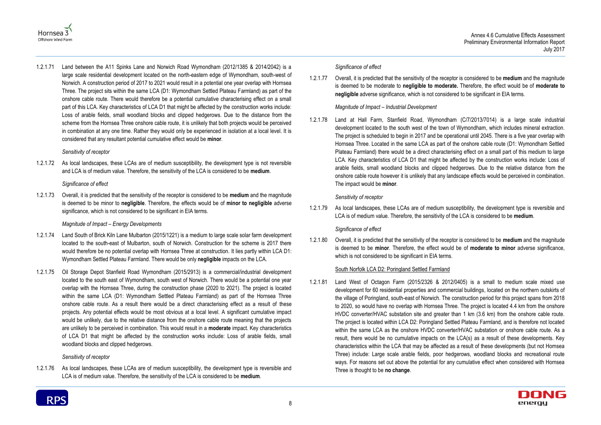

## Hornsea 3 Offshore Wind Farm

1.2.1.71 Land between the A11 Spinks Lane and Norwich Road Wymondham (2012/1385 & 2014/2042) is a large scale residential development located on the north-eastern edge of Wymondham, south-west of Norwich. A construction period of 2017 to 2021 would result in a potential one year overlap with Hornsea Three. The project sits within the same LCA (D1: Wymondham Settled Plateau Farmland) as part of the onshore cable route. There would therefore be a potential cumulative characterising effect on a small part of this LCA. Key characteristics of LCA D1 that might be affected by the construction works include: Loss of arable fields, small woodland blocks and clipped hedgerows. Due to the distance from the scheme from the Hornsea Three onshore cable route, it is unlikely that both projects would be perceived in combination at any one time. Rather they would only be experienced in isolation at a local level. It is considered that any resultant potential cumulative effect would be **minor**.

#### *Sensitivity of receptor*

1.2.1.72 As local landscapes, these LCAs are of medium susceptibility, the development type is not reversible and LCA is of medium value. Therefore, the sensitivity of the LCA is considered to be **medium**.

#### *Significance of effect*

1.2.1.73 Overall, it is predicted that the sensitivity of the receptor is considered to be **medium** and the magnitude is deemed to be minor to **negligible**. Therefore, the effects would be of **minor to negligible** adverse significance, which is not considered to be significant in EIA terms.

#### *Magnitude of Impact – Energy Developments*

- 1.2.1.74 Land South of Brick Kiln Lane Mulbarton (2015/1221) is a medium to large scale solar farm development located to the south-east of Mulbarton, south of Norwich. Construction for the scheme is 2017 there would therefore be no potential overlap with Hornsea Three at construction. It lies partly within LCA D1: Wymondham Settled Plateau Farmland. There would be only **negligible** impacts on the LCA.
- 1.2.1.75 Oil Storage Depot Stanfield Road Wymondham (2015/2913) is a commercial/industrial development located to the south east of Wymondham, south west of Norwich. There would be a potential one year overlap with the Hornsea Three, during the construction phase (2020 to 2021). The project is located within the same LCA (D1: Wymondham Settled Plateau Farmland) as part of the Hornsea Three onshore cable route. As a result there would be a direct characterising effect as a result of these projects. Any potential effects would be most obvious at a local level. A significant cumulative impact would be unlikely, due to the relative distance from the onshore cable route meaning that the projects are unlikely to be perceived in combination. This would result in a **moderate** impact. Key characteristics of LCA D1 that might be affected by the construction works include: Loss of arable fields, small woodland blocks and clipped hedgerows.

#### *Sensitivity of receptor*

1.2.1.76 As local landscapes, these LCAs are of medium susceptibility, the development type is reversible and LCA is of medium value. Therefore, the sensitivity of the LCA is considered to be **medium**.

#### *Significance of effect*

1.2.1.77 Overall, it is predicted that the sensitivity of the receptor is considered to be **medium** and the magnitude is deemed to be moderate to **negligible to moderate.** Therefore, the effect would be of **moderate to negligible** adverse significance, which is not considered to be significant in EIA terms.

#### *Magnitude of Impact – Industrial Development*

1.2.1.78 Land at Hall Farm, Stanfield Road, Wymondham (C/7/2013/7014) is a large scale industrial development located to the south west of the town of Wymondham, which includes mineral extraction. The project is scheduled to begin in 2017 and be operational until 2045. There is a five year overlap with Hornsea Three. Located in the same LCA as part of the onshore cable route (D1: Wymondham Settled Plateau Farmland) there would be a direct characterising effect on a small part of this medium to large LCA. Key characteristics of LCA D1 that might be affected by the construction works include: Loss of arable fields, small woodland blocks and clipped hedgerows. Due to the relative distance from the onshore cable route however it is unlikely that any landscape effects would be perceived in combination. The impact would be **minor**.

#### *Sensitivity of receptor*

1.2.1.79 As local landscapes, these LCAs are of medium susceptibility, the development type is reversible and LCA is of medium value. Therefore, the sensitivity of the LCA is considered to be **medium**.

#### *Significance of effect*

1.2.1.80 Overall, it is predicted that the sensitivity of the receptor is considered to be **medium** and the magnitude is deemed to be **minor**. Therefore, the effect would be of **moderate to minor** adverse significance, which is not considered to be significant in EIA terms.

#### South Norfolk LCA D2: Poringland Settled Farmland

1.2.1.81 Land West of Octagon Farm (2015/2326 & 2012/0405) is a small to medium scale mixed use development for 60 residential properties and commercial buildings, located on the northern outskirts of the village of Poringland, south-east of Norwich. The construction period for this project spans from 2018 to 2020, so would have no overlap with Hornsea Three. The project is located 4.4 km from the onshore HVDC converter/HVAC substation site and greater than 1 km (3.6 km) from the onshore cable route. The project is located within LCA D2: Poringland Settled Plateau Farmland, and is therefore not located within the same LCA as the onshore HVDC converter/HVAC substation or onshore cable route. As a result, there would be no cumulative impacts on the LCA(s) as a result of these developments. Key characteristics within the LCA that may be affected as a result of these developments (but not Hornsea Three) include: Large scale arable fields, poor hedgerows, woodland blocks and recreational route ways. For reasons set out above the potential for any cumulative effect when considered with Hornsea Three is thought to be **no change**.

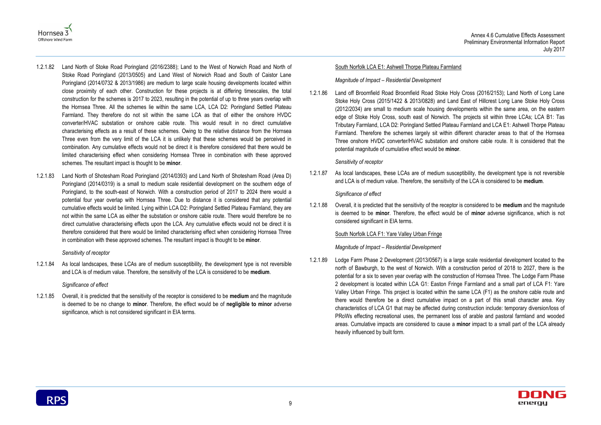



- 1.2.1.82 Land North of Stoke Road Poringland (2016/2388); Land to the West of Norwich Road and North of Stoke Road Poringland (2013/0505) and Land West of Norwich Road and South of Caistor Lane Poringland (2014/0732 & 2013/1986) are medium to large scale housing developments located within close proximity of each other. Construction for these projects is at differing timescales, the total construction for the schemes is 2017 to 2023, resulting in the potential of up to three years overlap with the Hornsea Three. All the schemes lie within the same LCA, LCA D2: Poringland Settled Plateau Farmland. They therefore do not sit within the same LCA as that of either the onshore HVDC converter/HVAC substation or onshore cable route. This would result in no direct cumulative characterising effects as a result of these schemes. Owing to the relative distance from the Hornsea Three even from the very limit of the LCA it is unlikely that these schemes would be perceived in combination. Any cumulative effects would not be direct it is therefore considered that there would be limited characterising effect when considering Hornsea Three in combination with these approved schemes. The resultant impact is thought to be **minor**.
- 1.2.1.83 Land North of Shotesham Road Poringland (2014/0393) and Land North of Shotesham Road (Area D) Poringland (2014/0319) is a small to medium scale residential development on the southern edge of Poringland, to the south-east of Norwich. With a construction period of 2017 to 2024 there would a potential four year overlap with Hornsea Three. Due to distance it is considered that any potential cumulative effects would be limited. Lying within LCA D2: Poringland Settled Plateau Farmland, they are not within the same LCA as either the substation or onshore cable route. There would therefore be no direct cumulative characterising effects upon the LCA. Any cumulative effects would not be direct it is therefore considered that there would be limited characterising effect when considering Hornsea Three in combination with these approved schemes. The resultant impact is thought to be **minor**.

#### *Sensitivity of receptor*

1.2.1.84 As local landscapes, these LCAs are of medium susceptibility, the development type is not reversible and LCA is of medium value. Therefore, the sensitivity of the LCA is considered to be **medium**.

#### *Significance of effect*

1.2.1.85 Overall, it is predicted that the sensitivity of the receptor is considered to be **medium** and the magnitude is deemed to be no change to **minor**. Therefore, the effect would be of **negligible to minor** adverse significance, which is not considered significant in EIA terms.

#### South Norfolk LCA E1: Ashwell Thorpe Plateau Farmland

#### *Magnitude of Impact – Residential Development*

1.2.1.86 Land off Broomfield Road Broomfield Road Stoke Holy Cross (2016/2153); Land North of Long Lane Stoke Holy Cross (2015/1422 & 2013/0828) and Land East of Hillcrest Long Lane Stoke Holy Cross (2012/2034) are small to medium scale housing developments within the same area, on the eastern edge of Stoke Holy Cross, south east of Norwich. The projects sit within three LCAs; LCA B1: Tas Tributary Farmland, LCA D2: Poringland Settled Plateau Farmland and LCA E1: Ashwell Thorpe Plateau Farmland. Therefore the schemes largely sit within different character areas to that of the Hornsea Three onshore HVDC converter/HVAC substation and onshore cable route. It is considered that the potential magnitude of cumulative effect would be **minor**.

#### *Sensitivity of receptor*

1.2.1.87 As local landscapes, these LCAs are of medium susceptibility, the development type is not reversible and LCA is of medium value. Therefore, the sensitivity of the LCA is considered to be **medium**.

#### *Significance of effect*

1.2.1.88 Overall, it is predicted that the sensitivity of the receptor is considered to be **medium** and the magnitude is deemed to be **minor**. Therefore, the effect would be of **minor** adverse significance, which is not considered significant in EIA terms.

#### South Norfolk LCA F1: Yare Valley Urban Fringe

#### *Magnitude of Impact – Residential Development*

1.2.1.89 Lodge Farm Phase 2 Development (2013/0567) is a large scale residential development located to the north of Bawburgh, to the west of Norwich. With a construction period of 2018 to 2027, there is the potential for a six to seven year overlap with the construction of Hornsea Three. The Lodge Farm Phase 2 development is located within LCA G1: Easton Fringe Farmland and a small part of LCA F1: Yare Valley Urban Fringe. This project is located within the same LCA (F1) as the onshore cable route and there would therefore be a direct cumulative impact on a part of this small character area. Key characteristics of LCA G1 that may be affected during construction include: temporary diversion/loss of PRoWs effecting recreational uses, the permanent loss of arable and pastoral farmland and wooded areas. Cumulative impacts are considered to cause a **minor** impact to a small part of the LCA already heavily influenced by built form.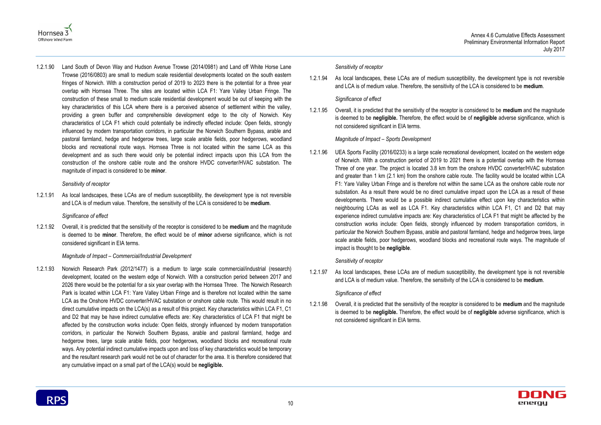



1.2.1.90 Land South of Devon Way and Hudson Avenue Trowse (2014/0981) and Land off White Horse Lane Trowse (2016/0803) are small to medium scale residential developments located on the south eastern fringes of Norwich. With a construction period of 2019 to 2023 there is the potential for a three year overlap with Hornsea Three. The sites are located within LCA F1: Yare Valley Urban Fringe. The construction of these small to medium scale residential development would be out of keeping with the key characteristics of this LCA where there is a perceived absence of settlement within the valley, providing a green buffer and comprehensible development edge to the city of Norwich. Key characteristics of LCA F1 which could potentially be indirectly effected include: Open fields, strongly influenced by modern transportation corridors, in particular the Norwich Southern Bypass, arable and pastoral farmland, hedge and hedgerow trees, large scale arable fields, poor hedgerows, woodland blocks and recreational route ways. Hornsea Three is not located within the same LCA as this development and as such there would only be potential indirect impacts upon this LCA from the construction of the onshore cable route and the onshore HVDC converter/HVAC substation. The magnitude of impact is considered to be **minor**.

#### *Sensitivity of receptor*

1.2.1.91 As local landscapes, these LCAs are of medium susceptibility, the development type is not reversible and LCA is of medium value. Therefore, the sensitivity of the LCA is considered to be **medium**.

#### *Significance of effect*

1.2.1.92 Overall, it is predicted that the sensitivity of the receptor is considered to be **medium** and the magnitude is deemed to be **minor**. Therefore, the effect would be of **minor** adverse significance, which is not considered significant in EIA terms.

#### *Magnitude of Impact – Commercial/Industrial Development*

1.2.1.93 Norwich Research Park (2012/1477) is a medium to large scale commercial/industrial (research) development, located on the western edge of Norwich. With a construction period between 2017 and 2026 there would be the potential for a six year overlap with the Hornsea Three. The Norwich Research Park is located within LCA F1: Yare Valley Urban Fringe and is therefore not located within the same LCA as the Onshore HVDC converter/HVAC substation or onshore cable route. This would result in no direct cumulative impacts on the LCA(s) as a result of this project. Key characteristics within LCA F1, C1 and D2 that may be have indirect cumulative effects are: Key characteristics of LCA F1 that might be affected by the construction works include: Open fields, strongly influenced by modern transportation corridors, in particular the Norwich Southern Bypass, arable and pastoral farmland, hedge and hedgerow trees, large scale arable fields, poor hedgerows, woodland blocks and recreational route ways. Any potential indirect cumulative impacts upon and loss of key characteristics would be temporary and the resultant research park would not be out of character for the area. It is therefore considered that any cumulative impact on a small part of the LCA(s) would be **negligible.**

#### *Sensitivity of receptor*

1.2.1.94 As local landscapes, these LCAs are of medium susceptibility, the development type is not reversible and LCA is of medium value. Therefore, the sensitivity of the LCA is considered to be **medium**.

#### *Significance of effect*

1.2.1.95 Overall, it is predicted that the sensitivity of the receptor is considered to be **medium** and the magnitude is deemed to be **negligible.** Therefore, the effect would be of **negligible** adverse significance, which is not considered significant in EIA terms.

#### *Magnitude of Impact – Sports Development*

1.2.1.96 UEA Sports Facility (2016/0233) is a large scale recreational development, located on the western edge of Norwich. With a construction period of 2019 to 2021 there is a potential overlap with the Hornsea Three of one year. The project is located 3.8 km from the onshore HVDC converter/HVAC substation and greater than 1 km (2.1 km) from the onshore cable route. The facility would be located within LCA F1: Yare Valley Urban Fringe and is therefore not within the same LCA as the onshore cable route nor substation. As a result there would be no direct cumulative impact upon the LCA as a result of these developments. There would be a possible indirect cumulative effect upon key characteristics within neighbouring LCAs as well as LCA F1. Key characteristics within LCA F1, C1 and D2 that may experience indirect cumulative impacts are: Key characteristics of LCA F1 that might be affected by the construction works include: Open fields, strongly influenced by modern transportation corridors, in particular the Norwich Southern Bypass, arable and pastoral farmland, hedge and hedgerow trees, large scale arable fields, poor hedgerows, woodland blocks and recreational route ways. The magnitude of impact is thought to be **negligible**.

#### *Sensitivity of receptor*

1.2.1.97 As local landscapes, these LCAs are of medium susceptibility, the development type is not reversible and LCA is of medium value. Therefore, the sensitivity of the LCA is considered to be **medium**.

#### *Significance of effect*

1.2.1.98 Overall, it is predicted that the sensitivity of the receptor is considered to be **medium** and the magnitude is deemed to be **negligible.** Therefore, the effect would be of **negligible** adverse significance, which is not considered significant in EIA terms.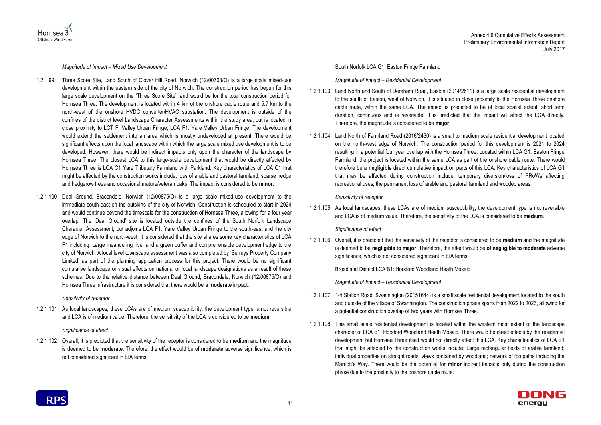



*Magnitude of Impact – Mixed Use Development*

- 1.2.1.99 Three Score Site, Land South of Clover Hill Road, Norwich (12/00703/O) is a large scale mixed-use development within the eastern side of the city of Norwich. The construction period has begun for this large scale development on the 'Three Score Site', and would be for the total construction period for Hornsea Three. The development is located within 4 km of the onshore cable route and 5.7 km to the north-west of the onshore HVDC converter/HVAC substation. The development is outside of the confines of the district level Landscape Character Assessments within the study area, but is located in close proximity to LCT F: Valley Urban Fringe, LCA F1: Yare Valley Urban Fringe. The development would extend the settlement into an area which is mostly undeveloped at present. There would be significant effects upon the local landscape within which the large scale mixed use development is to be developed. However, there would be indirect impacts only upon the character of the landscape by Hornsea Three. The closest LCA to this large-scale development that would be directly affected by Hornsea Three is LCA C1 Yare Tributary Farmland with Parkland. Key characteristics of LCA C1 that might be affected by the construction works include: loss of arable and pastoral farmland, sparse hedge and hedgerow trees and occasional mature/veteran oaks. The impact is considered to be **minor**.
- 1.2.1.100 Deal Ground, Bracondale, Norwich (12/00875/O) is a large scale mixed-use development to the immediate south-east on the outskirts of the city of Norwich. Construction is scheduled to start in 2024 and would continue beyond the timescale for the construction of Hornsea Three, allowing for a four year overlap. The 'Deal Ground' site is located outside the confines of the South Norfolk Landscape Character Assessment, but adjoins LCA F1: Yare Valley Urban Fringe to the south-east and the city edge of Norwich to the north-west. It is considered that the site shares some key characteristics of LCA F1 including: Large meandering river and a green buffer and comprehensible development edge to the city of Norwich. A local level townscape assessment was also completed by 'Serruys Property Company Limited' as part of the planning application process for this project. There would be no significant cumulative landscape or visual effects on national or local landscape designations as a result of these schemes. Due to the relative distance between Deal Ground, Bracondale, Norwich (12/00875/O) and Hornsea Three infrastructure it is considered that there would be a **moderate** impact.

#### *Sensitivity of receptor*

1.2.1.101 As local landscapes, these LCAs are of medium susceptibility, the development type is not reversible and LCA is of medium value. Therefore, the sensitivity of the LCA is considered to be **medium**.

#### *Significance of effect*

1.2.1.102 Overall, it is predicted that the sensitivity of the receptor is considered to be **medium** and the magnitude is deemed to be **moderate**. Therefore, the effect would be of **moderate** adverse significance, which is not considered significant in EIA terms.

#### South Norfolk LCA G1: Easton Fringe Farmland

*Magnitude of Impact – Residential Development*

- 1.2.1.103 Land North and South of Dereham Road, Easton (2014/2611) is a large scale residential development to the south of Easton, west of Norwich. It is situated in close proximity to the Hornsea Three onshore cable route, within the same LCA. The impact is predicted to be of local spatial extent, short term duration, continuous and is reversible. It is predicted that the impact will affect the LCA directly. Therefore, the magnitude is considered to be **major**.
- 1.2.1.104 Land North of Farmland Road (2016/2430) is a small to medium scale residential development located on the north-west edge of Norwich. The construction period for this development is 2021 to 2024 resulting in a potential four year overlap with the Hornsea Three. Located within LCA G1: Easton Fringe Farmland, the project is located within the same LCA as part of the onshore cable route. There would therefore be a **negligible** direct cumulative impact on parts of this LCA. Key characteristics of LCA G1 that may be affected during construction include: temporary diversion/loss of PRoWs affecting recreational uses, the permanent loss of arable and pastoral farmland and wooded areas.

#### *Sensitivity of receptor*

1.2.1.105 As local landscapes, these LCAs are of medium susceptibility, the development type is not reversible and LCA is of medium value. Therefore, the sensitivity of the LCA is considered to be **medium**.

#### *Significance of effect*

1.2.1.106 Overall, it is predicted that the sensitivity of the receptor is considered to be **medium** and the magnitude is deemed to be **negligible to major**. Therefore, the effect would be **of negligible to moderate** adverse significance, which is not considered significant in EIA terms.

Broadland District LCA B1: Horsford Woodland Heath Mosaic

*Magnitude of Impact – Residential Development*

- 1.2.1.107 1-4 Station Road, Swannington (20151644) is a small scale residential development located to the south and outside of the village of Swannington. The construction phase spans from 2022 to 2023, allowing for a potential construction overlap of two years with Hornsea Three.
- 1.2.1.108 This small scale residential development is located within the western most extent of the landscape character of LCA B1: Horsford Woodland Heath Mosaic. There would be direct effects by the residential development but Hornsea Three itself would not directly affect this LCA. Key characteristics of LCA B1 that might be affected by the construction works include: Large rectangular fields of arable farmland; individual properties on straight roads; views contained by woodland; network of footpaths including the Marriott's Way. There would be the potential for **minor** indirect impacts only during the construction phase due to the proximity to the onshore cable route.

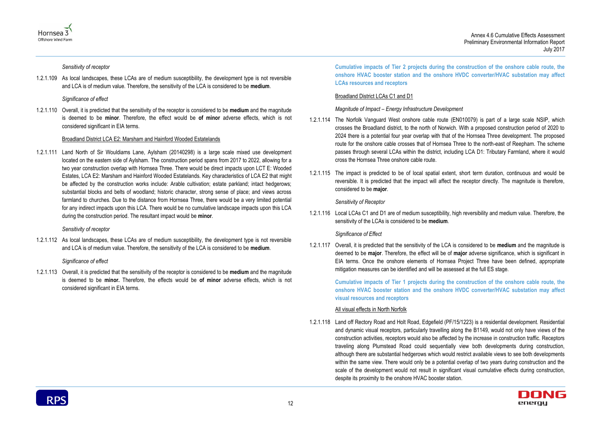



*Sensitivity of receptor*

1.2.1.109 As local landscapes, these LCAs are of medium susceptibility, the development type is not reversible and LCA is of medium value. Therefore, the sensitivity of the LCA is considered to be **medium**.

*Significance of effect*

1.2.1.110 Overall, it is predicted that the sensitivity of the receptor is considered to be **medium** and the magnitude is deemed to be **minor**. Therefore, the effect would be **of minor** adverse effects, which is not considered significant in EIA terms.

#### Broadland District LCA E2: Marsham and Hainford Wooded Estatelands

1.2.1.111 Land North of Sir Wouldiams Lane, Aylsham (20140298) is a large scale mixed use development located on the eastern side of Aylsham. The construction period spans from 2017 to 2022, allowing for a two year construction overlap with Hornsea Three. There would be direct impacts upon LCT E: Wooded Estates, LCA E2: Marsham and Hainford Wooded Estatelands. Key characteristics of LCA E2 that might be affected by the construction works include: Arable cultivation; estate parkland; intact hedgerows; substantial blocks and belts of woodland; historic character, strong sense of place; and views across farmland to churches. Due to the distance from Hornsea Three, there would be a very limited potential for any indirect impacts upon this LCA. There would be no cumulative landscape impacts upon this LCA during the construction period. The resultant impact would be **minor**.

#### *Sensitivity of receptor*

1.2.1.112 As local landscapes, these LCAs are of medium susceptibility, the development type is not reversible and LCA is of medium value. Therefore, the sensitivity of the LCA is considered to be **medium**.

#### *Significance of effect*

1.2.1.113 Overall, it is predicted that the sensitivity of the receptor is considered to be **medium** and the magnitude is deemed to be **minor.** Therefore, the effects would be **of minor** adverse effects, which is not considered significant in EIA terms.

**Cumulative impacts of Tier 2 projects during the construction of the onshore cable route, the onshore HVAC booster station and the onshore HVDC converter/HVAC substation may affect LCAs resources and receptors**

#### Broadland District LCAs C1 and D1

*Magnitude of Impact – Energy Infrastructure Development*

- 1.2.1.114 The Norfolk Vanguard West onshore cable route (EN010079) is part of a large scale NSIP, which crosses the Broadland district, to the north of Norwich. With a proposed construction period of 2020 to 2024 there is a potential four year overlap with that of the Hornsea Three development. The proposed route for the onshore cable crosses that of Hornsea Three to the north-east of Reepham. The scheme passes through several LCAs within the district, including LCA D1: Tributary Farmland, where it would cross the Hornsea Three onshore cable route.
- 1.2.1.115 The impact is predicted to be of local spatial extent, short term duration, continuous and would be reversible. It is predicted that the impact will affect the receptor directly. The magnitude is therefore, considered to be **major**.

#### *Sensitivity of Receptor*

1.2.1.116 Local LCAs C1 and D1 are of medium susceptibility, high reversibility and medium value. Therefore, the sensitivity of the LCAs is considered to be **medium**.

#### *Significance of Effect*

1.2.1.117 Overall, it is predicted that the sensitivity of the LCA is considered to be **medium** and the magnitude is deemed to be **major**. Therefore, the effect will be of **major** adverse significance, which is significant in EIA terms. Once the onshore elements of Hornsea Project Three have been defined, appropriate mitigation measures can be identified and will be assessed at the full ES stage.

> **Cumulative impacts of Tier 1 projects during the construction of the onshore cable route, the onshore HVAC booster station and the onshore HVDC converter/HVAC substation may affect visual resources and receptors**

#### All visual effects in North Norfolk

1.2.1.118 Land off Rectory Road and Holt Road, Edgefield (PF/15/1223) is a residential development. Residential and dynamic visual receptors, particularly travelling along the B1149, would not only have views of the construction activities, receptors would also be affected by the increase in construction traffic. Receptors traveling along Plumstead Road could sequentially view both developments during construction, although there are substantial hedgerows which would restrict available views to see both developments within the same view. There would only be a potential overlap of two years during construction and the scale of the development would not result in significant visual cumulative effects during construction, despite its proximity to the onshore HVAC booster station.

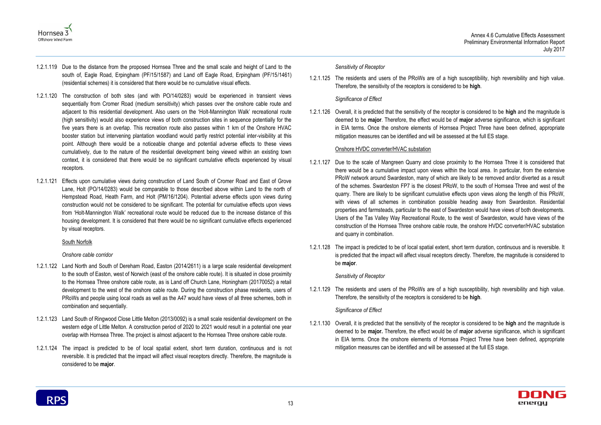



- 1.2.1.119 Due to the distance from the proposed Hornsea Three and the small scale and height of Land to the south of, Eagle Road, Erpingham (PF/15/1587) and Land off Eagle Road, Erpingham (PF/15/1461) (residential schemes) it is considered that there would be no cumulative visual effects.
- 1.2.1.120 The construction of both sites (and with PO/14/0283) would be experienced in transient views sequentially from Cromer Road (medium sensitivity) which passes over the onshore cable route and adjacent to this residential development. Also users on the 'Holt-Mannington Walk' recreational route (high sensitivity) would also experience views of both construction sites in sequence potentially for the five years there is an overlap. This recreation route also passes within 1 km of the Onshore HVAC booster station but intervening plantation woodland would partly restrict potential inter-visibility at this point. Although there would be a noticeable change and potential adverse effects to these views cumulatively, due to the nature of the residential development being viewed within an existing town context, it is considered that there would be no significant cumulative effects experienced by visual receptors.
- 1.2.1.121 Effects upon cumulative views during construction of Land South of Cromer Road and East of Grove Lane, Holt (PO/14/0283) would be comparable to those described above within Land to the north of Hempstead Road, Heath Farm, and Holt (PM/16/1204). Potential adverse effects upon views during construction would not be considered to be significant. The potential for cumulative effects upon views from 'Holt-Mannington Walk' recreational route would be reduced due to the increase distance of this housing development. It is considered that there would be no significant cumulative effects experienced by visual receptors.

#### South Norfolk

#### *Onshore cable corridor*

- 1.2.1.122 Land North and South of Dereham Road, Easton (2014/2611) is a large scale residential development to the south of Easton, west of Norwich (east of the onshore cable route). It is situated in close proximity to the Hornsea Three onshore cable route, as is Land off Church Lane, Honingham (20170052) a retail development to the west of the onshore cable route. During the construction phase residents, users of PRoWs and people using local roads as well as the A47 would have views of all three schemes, both in combination and sequentially.
- 1.2.1.123 Land South of Ringwood Close Little Melton (2013/0092) is a small scale residential development on the western edge of Little Melton. A construction period of 2020 to 2021 would result in a potential one year overlap with Hornsea Three. The project is almost adjacent to the Hornsea Three onshore cable route.
- 1.2.1.124 The impact is predicted to be of local spatial extent, short term duration, continuous and is not reversible. It is predicted that the impact will affect visual receptors directly. Therefore, the magnitude is considered to be **major**.

#### *Sensitivity of Receptor*

1.2.1.125 The residents and users of the PRoWs are of a high susceptibility, high reversibility and high value. Therefore, the sensitivity of the receptors is considered to be **high**.

#### *Significance of Effect*

1.2.1.126 Overall, it is predicted that the sensitivity of the receptor is considered to be **high** and the magnitude is deemed to be **major**. Therefore, the effect would be of **major** adverse significance, which is significant in EIA terms. Once the onshore elements of Hornsea Project Three have been defined, appropriate mitigation measures can be identified and will be assessed at the full ES stage.

#### Onshore HVDC converter/HVAC substation

- 1.2.1.127 Due to the scale of Mangreen Quarry and close proximity to the Hornsea Three it is considered that there would be a cumulative impact upon views within the local area. In particular, from the extensive PRoW network around Swardeston, many of which are likely to be removed and/or diverted as a result of the schemes. Swardeston FP7 is the closest PRoW, to the south of Hornsea Three and west of the quarry. There are likely to be significant cumulative effects upon views along the length of this PRoW, with views of all schemes in combination possible heading away from Swardeston. Residential properties and farmsteads, particular to the east of Swardeston would have views of both developments. Users of the Tas Valley Way Recreational Route, to the west of Swardeston, would have views of the construction of the Hornsea Three onshore cable route, the onshore HVDC converter/HVAC substation and quarry in combination.
- 1.2.1.128 The impact is predicted to be of local spatial extent, short term duration, continuous and is reversible. It is predicted that the impact will affect visual receptors directly. Therefore, the magnitude is considered to be **major**.

#### *Sensitivity of Receptor*

1.2.1.129 The residents and users of the PRoWs are of a high susceptibility, high reversibility and high value. Therefore, the sensitivity of the receptors is considered to be **high**.

#### *Significance of Effect*

1.2.1.130 Overall, it is predicted that the sensitivity of the receptor is considered to be **high** and the magnitude is deemed to be **major.** Therefore, the effect would be of **major** adverse significance, which is significant in EIA terms. Once the onshore elements of Hornsea Project Three have been defined, appropriate mitigation measures can be identified and will be assessed at the full ES stage.

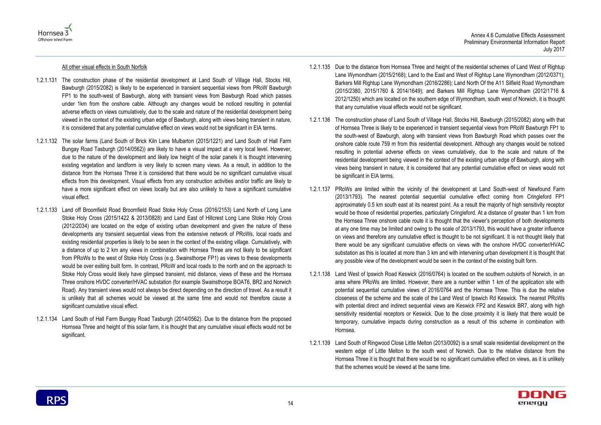



#### All other visual effects in South Norfolk

- 1.2.1.131 The construction phase of the residential development at Land South of Village Hall, Stocks Hill, Bawburgh (2015/2082) is likely to be experienced in transient sequential views from PRoW Bawburgh FP1 to the south-west of Bawburgh, along with transient views from Bawburgh Road which passes under 1km from the onshore cable. Although any changes would be noticed resulting in potential adverse effects on views cumulatively, due to the scale and nature of the residential development being viewed in the context of the existing urban edge of Bawburgh, along with views being transient in nature, it is considered that any potential cumulative effect on views would not be significant in EIA terms.
- 1.2.1.132 The solar farms (Land South of Brick Kiln Lane Mulbarton (2015/1221) and Land South of Hall Farm Bungay Road Tasburgh (2014/0562)) are likely to have a visual impact at a very local level. However, due to the nature of the development and likely low height of the solar panels it is thought intervening existing vegetation and landform is very likely to screen many views. As a result, in addition to the distance from the Hornsea Three it is considered that there would be no significant cumulative visual effects from this development. Visual effects from any construction activities and/or traffic are likely to have a more significant effect on views locally but are also unlikely to have a significant cumulative visual effect.
- 1.2.1.133 Land off Broomfield Road Broomfield Road Stoke Holy Cross (2016/2153) Land North of Long Lane Stoke Holy Cross (2015/1422 & 2013/0828) and Land East of Hillcrest Long Lane Stoke Holy Cross (2012/2034) are located on the edge of existing urban development and given the nature of these developments any transient sequential views from the extensive network of PRoWs, local roads and existing residential properties is likely to be seen in the context of the existing village. Cumulatively, with a distance of up to 2 km any views in combination with Hornsea Three are not likely to be significant from PRoWs to the west of Stoke Holy Cross (e.g. Swainsthorpe FP1) as views to these developments would be over exiting built form. In contrast, PRoW and local roads to the north and on the approach to Stoke Holy Cross would likely have glimpsed transient, mid distance, views of these and the Hornsea Three onshore HVDC converter/HVAC substation (for example Swainsthorpe BOAT6, BR2 and Norwich Road). Any transient views would not always be direct depending on the direction of travel. As a result it is unlikely that all schemes would be viewed at the same time and would not therefore cause a significant cumulative visual effect.
- 1.2.1.134 Land South of Hall Farm Bungay Road Tasburgh (2014/0562). Due to the distance from the proposed Hornsea Three and height of this solar farm, it is thought that any cumulative visual effects would not be significant.
- 1.2.1.135 Due to the distance from Hornsea Three and height of the residential schemes of Land West of Rightup Lane Wymondham (2015/2168); Land to the East and West of Rightup Lane Wymondham (2012/0371); Barkers Mill Rightup Lane Wymondham (2016/2286); Land North Of the A11 Silfield Road Wymondham (2015/2380, 2015/1760 & 2014/1649); and Barkers Mill Rightup Lane Wymondham (2012/1716 & 2012/1250) which are located on the southern edge of Wymondham, south west of Norwich, it is thought that any cumulative visual effects would not be significant.
- 1.2.1.136 The construction phase of Land South of Village Hall, Stocks Hill, Bawburgh (2015/2082) along with that of Hornsea Three is likely to be experienced in transient sequential views from PRoW Bawburgh FP1 to the south-west of Bawburgh, along with transient views from Bawburgh Road which passes over the onshore cable route 759 m from this residential development. Although any changes would be noticed resulting in potential adverse effects on views cumulatively, due to the scale and nature of the residential development being viewed in the context of the existing urban edge of Bawburgh, along with views being transient in nature, it is considered that any potential cumulative effect on views would not be significant in EIA terms.
- 1.2.1.137 PRoWs are limited within the vicinity of the development at Land South-west of Newfound Farm (2013/1793). The nearest potential sequential cumulative effect coming from Cringleford FP1 approximately 0.5 km south east at its nearest point. As a result the majority of high sensitivity receptor would be those of residential properties, particularly Cringleford. At a distance of greater than 1 km from the Hornsea Three onshore cable route it is thought that the viewer's perception of both developments at any one time may be limited and owing to the scale of 2013/1793, this would have a greater influence on views and therefore any cumulative effect is thought to be not significant. It is not thought likely that there would be any significant cumulative effects on views with the onshore HVDC converter/HVAC substation as this is located at more than 3 km and with intervening urban development it is thought that any possible view of the development would be seen in the context of the existing built form.
- 1.2.1.138 Land West of Ipswich Road Keswick (2016/0764) is located on the southern outskirts of Norwich, in an area where PRoWs are limited. However, there are a number within 1 km of the application site with potential sequential cumulative views of 2016/0764 and the Hornsea Three. This is due the relative closeness of the scheme and the scale of the Land West of Ipswich Rd Keswick. The nearest PRoWs with potential direct and indirect sequential views are Keswick FP2 and Keswick BR7, along with high sensitivity residential receptors or Keswick. Due to the close proximity it is likely that there would be temporary, cumulative impacts during construction as a result of this scheme in combination with Hornsea.
- 1.2.1.139 Land South of Ringwood Close Little Melton (2013/0092) is a small scale residential development on the western edge of Little Melton to the south west of Norwich. Due to the relative distance from the Hornsea Three it is thought that there would be no significant cumulative effect on views, as it is unlikely that the schemes would be viewed at the same time.

**RPS**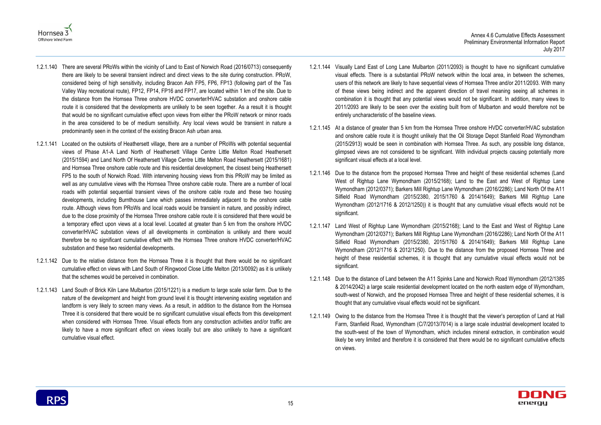



- 1.2.1.140 There are several PRoWs within the vicinity of Land to East of Norwich Road (2016/0713) consequently there are likely to be several transient indirect and direct views to the site during construction. PRoW, considered being of high sensitivity, including Bracon Ash FP5, FP6, FP13 (following part of the Tas Valley Way recreational route), FP12, FP14, FP16 and FP17, are located within 1 km of the site. Due to the distance from the Hornsea Three onshore HVDC converter/HVAC substation and onshore cable route it is considered that the developments are unlikely to be seen together. As a result it is thought that would be no significant cumulative effect upon views from either the PRoW network or minor roads in the area considered to be of medium sensitivity. Any local views would be transient in nature a predominantly seen in the context of the existing Bracon Ash urban area.
- 1.2.1.141 Located on the outskirts of Heathersett village, there are a number of PRoWs with potential sequential views of Phase A1-A Land North of Heathersett Village Centre Little Melton Road Heathersett (2015/1594) and Land North Of Heathersett Village Centre Little Melton Road Heathersett (2015/1681) and Hornsea Three onshore cable route and this residential development, the closest being Heathersett FP5 to the south of Norwich Road. With intervening housing views from this PRoW may be limited as well as any cumulative views with the Hornsea Three onshore cable route. There are a number of local roads with potential sequential transient views of the onshore cable route and these two housing developments, including Burnthouse Lane which passes immediately adjacent to the onshore cable route. Although views from PRoWs and local roads would be transient in nature, and possibly indirect, due to the close proximity of the Hornsea Three onshore cable route it is considered that there would be a temporary effect upon views at a local level. Located at greater than 5 km from the onshore HVDC converter/HVAC substation views of all developments in combination is unlikely and there would therefore be no significant cumulative effect with the Hornsea Three onshore HVDC converter/HVAC substation and these two residential developments.
- 1.2.1.142 Due to the relative distance from the Hornsea Three it is thought that there would be no significant cumulative effect on views with Land South of Ringwood Close Little Melton (2013/0092) as it is unlikely that the schemes would be perceived in combination.
- 1.2.1.143 Land South of Brick Kiln Lane Mulbarton (2015/1221) is a medium to large scale solar farm. Due to the nature of the development and height from ground level it is thought intervening existing vegetation and landform is very likely to screen many views. As a result, in addition to the distance from the Hornsea Three it is considered that there would be no significant cumulative visual effects from this development when considered with Hornsea Three. Visual effects from any construction activities and/or traffic are likely to have a more significant effect on views locally but are also unlikely to have a significant cumulative visual effect.
- 1.2.1.144 Visually Land East of Long Lane Mulbarton (2011/2093) is thought to have no significant cumulative visual effects. There is a substantial PRoW network within the local area, in between the schemes, users of this network are likely to have sequential views of Hornsea Three and/or 2011/2093. With many of these views being indirect and the apparent direction of travel meaning seeing all schemes in combination it is thought that any potential views would not be significant. In addition, many views to 2011/2093 are likely to be seen over the existing built from of Mulbarton and would therefore not be entirely uncharacteristic of the baseline views.
- 1.2.1.145 At a distance of greater than 5 km from the Hornsea Three onshore HVDC converter/HVAC substation and onshore cable route it is thought unlikely that the Oil Storage Depot Stanfield Road Wymondham (2015/2913) would be seen in combination with Hornsea Three. As such, any possible long distance, glimpsed views are not considered to be significant. With individual projects causing potentially more significant visual effects at a local level.
- 1.2.1.146 Due to the distance from the proposed Hornsea Three and height of these residential schemes (Land West of Rightup Lane Wymondham (2015/2168); Land to the East and West of Rightup Lane Wymondham (2012/0371); Barkers Mill Rightup Lane Wymondham (2016/2286); Land North Of the A11 Silfield Road Wymondham (2015/2380, 2015/1760 & 2014/1649); Barkers Mill Rightup Lane Wymondham (2012/1716 & 2012/1250)) it is thought that any cumulative visual effects would not be significant.
- 1.2.1.147 Land West of Rightup Lane Wymondham (2015/2168); Land to the East and West of Rightup Lane Wymondham (2012/0371); Barkers Mill Rightup Lane Wymondham (2016/2286); Land North Of the A11 Silfield Road Wymondham (2015/2380, 2015/1760 & 2014/1649); Barkers Mill Rightup Lane Wymondham (2012/1716 & 2012/1250). Due to the distance from the proposed Hornsea Three and height of these residential schemes, it is thought that any cumulative visual effects would not be significant.
- 1.2.1.148 Due to the distance of Land between the A11 Spinks Lane and Norwich Road Wymondham (2012/1385 & 2014/2042) a large scale residential development located on the north eastern edge of Wymondham, south-west of Norwich, and the proposed Hornsea Three and height of these residential schemes, it is thought that any cumulative visual effects would not be significant.
- 1.2.1.149 Owing to the distance from the Hornsea Three it is thought that the viewer's perception of Land at Hall Farm, Stanfield Road, Wymondham (C/7/2013/7014) is a large scale industrial development located to the south-west of the town of Wymondham, which includes mineral extraction, in combination would likely be very limited and therefore it is considered that there would be no significant cumulative effects on views.

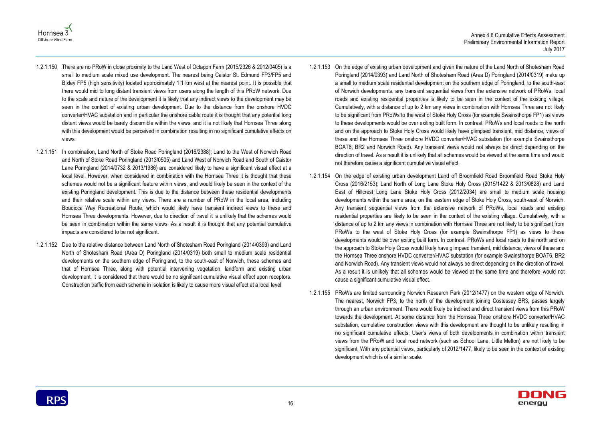



- 1.2.1.150 There are no PRoW in close proximity to the Land West of Octagon Farm (2015/2326 & 2012/0405) is a small to medium scale mixed use development. The nearest being Caistor St. Edmund FP3/FP5 and Bixley FP5 (high sensitivity) located approximately 1.1 km west at the nearest point. It is possible that there would mid to long distant transient views from users along the length of this PRoW network. Due to the scale and nature of the development it is likely that any indirect views to the development may be seen in the context of existing urban development. Due to the distance from the onshore HVDC converter/HVAC substation and in particular the onshore cable route it is thought that any potential long distant views would be barely discernible within the views, and it is not likely that Hornsea Three along with this development would be perceived in combination resulting in no significant cumulative effects on views.
- 1.2.1.151 In combination, Land North of Stoke Road Poringland (2016/2388); Land to the West of Norwich Road and North of Stoke Road Poringland (2013/0505) and Land West of Norwich Road and South of Caistor Lane Poringland (2014/0732 & 2013/1986) are considered likely to have a significant visual effect at a local level. However, when considered in combination with the Hornsea Three it is thought that these schemes would not be a significant feature within views, and would likely be seen in the context of the existing Poringland development. This is due to the distance between these residential developments and their relative scale within any views. There are a number of PRoW in the local area, including Boudicca Way Recreational Route, which would likely have transient indirect views to these and Hornsea Three developments. However, due to direction of travel it is unlikely that the schemes would be seen in combination within the same views. As a result it is thought that any potential cumulative impacts are considered to be not significant.
- 1.2.1.152 Due to the relative distance between Land North of Shotesham Road Poringland (2014/0393) and Land North of Shotesham Road (Area D) Poringland (2014/0319) both small to medium scale residential developments on the southern edge of Poringland, to the south-east of Norwich, these schemes and that of Hornsea Three, along with potential intervening vegetation, landform and existing urban development, it is considered that there would be no significant cumulative visual effect upon receptors. Construction traffic from each scheme in isolation is likely to cause more visual effect at a local level.
- 1.2.1.153 On the edge of existing urban development and given the nature of the Land North of Shotesham Road Poringland (2014/0393) and Land North of Shotesham Road (Area D) Poringland (2014/0319) make up a small to medium scale residential development on the southern edge of Poringland, to the south-east of Norwich developments, any transient sequential views from the extensive network of PRoWs, local roads and existing residential properties is likely to be seen in the context of the existing village. Cumulatively, with a distance of up to 2 km any views in combination with Hornsea Three are not likely to be significant from PRoWs to the west of Stoke Holy Cross (for example Swainsthorpe FP1) as views to these developments would be over exiting built form. In contrast, PRoWs and local roads to the north and on the approach to Stoke Holy Cross would likely have glimpsed transient, mid distance, views of these and the Hornsea Three onshore HVDC converter/HVAC substation (for example Swainsthorpe BOAT6, BR2 and Norwich Road). Any transient views would not always be direct depending on the direction of travel. As a result it is unlikely that all schemes would be viewed at the same time and would not therefore cause a significant cumulative visual effect.
- 1.2.1.154 On the edge of existing urban development Land off Broomfield Road Broomfield Road Stoke Holy Cross (2016/2153); Land North of Long Lane Stoke Holy Cross (2015/1422 & 2013/0828) and Land East of Hillcrest Long Lane Stoke Holy Cross (2012/2034) are small to medium scale housing developments within the same area, on the eastern edge of Stoke Holy Cross, south-east of Norwich. Any transient sequential views from the extensive network of PRoWs, local roads and existing residential properties are likely to be seen in the context of the existing village. Cumulatively, with a distance of up to 2 km any views in combination with Hornsea Three are not likely to be significant from PRoWs to the west of Stoke Holy Cross (for example Swainsthorpe FP1) as views to these developments would be over exiting built form. In contrast, PRoWs and local roads to the north and on the approach to Stoke Holy Cross would likely have glimpsed transient, mid distance, views of these and the Hornsea Three onshore HVDC converter/HVAC substation (for example Swainsthorpe BOAT6, BR2 and Norwich Road). Any transient views would not always be direct depending on the direction of travel. As a result it is unlikely that all schemes would be viewed at the same time and therefore would not cause a significant cumulative visual effect.
- 1.2.1.155 PRoWs are limited surrounding Norwich Research Park (2012/1477) on the western edge of Norwich. The nearest, Norwich FP3, to the north of the development joining Costessey BR3, passes largely through an urban environment. There would likely be indirect and direct transient views from this PRoW towards the development. At some distance from the Hornsea Three onshore HVDC converter/HVAC substation, cumulative construction views with this development are thought to be unlikely resulting in no significant cumulative effects. User's views of both developments in combination within transient views from the PRoW and local road network (such as School Lane, Little Melton) are not likely to be significant. With any potential views, particularly of 2012/1477, likely to be seen in the context of existing development which is of a similar scale.

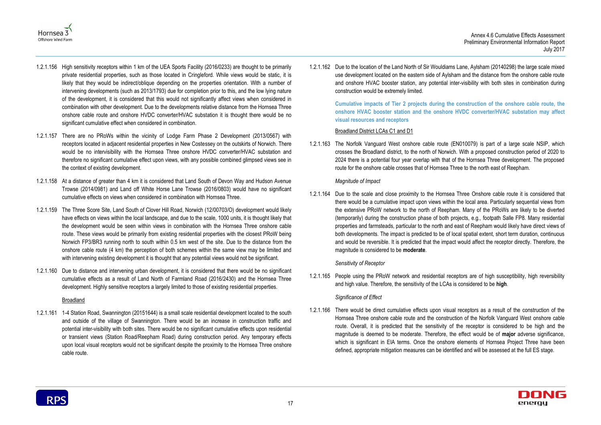Annex 4.6 Cumulative Effects Assessment Preliminary Environmental Information Report July 2017





- 1.2.1.156 High sensitivity receptors within 1 km of the UEA Sports Facility (2016/0233) are thought to be primarily private residential properties, such as those located in Cringleford. While views would be static, it is likely that they would be indirect/oblique depending on the properties orientation. With a number of intervening developments (such as 2013/1793) due for completion prior to this, and the low lying nature of the development, it is considered that this would not significantly affect views when considered in combination with other development. Due to the developments relative distance from the Hornsea Three onshore cable route and onshore HVDC converter/HVAC substation it is thought there would be no significant cumulative effect when considered in combination.
- 1.2.1.157 There are no PRoWs within the vicinity of Lodge Farm Phase 2 Development (2013/0567) with receptors located in adjacent residential properties in New Costessey on the outskirts of Norwich. There would be no intervisibility with the Hornsea Three onshore HVDC converter/HVAC substation and therefore no significant cumulative effect upon views, with any possible combined glimpsed views see in the context of existing development.
- 1.2.1.158 At a distance of greater than 4 km it is considered that Land South of Devon Way and Hudson Avenue Trowse (2014/0981) and Land off White Horse Lane Trowse (2016/0803) would have no significant cumulative effects on views when considered in combination with Hornsea Three.
- 1.2.1.159 The Three Score Site, Land South of Clover Hill Road, Norwich (12/00703/O) development would likely have effects on views within the local landscape, and due to the scale, 1000 units, it is thought likely that the development would be seen within views in combination with the Hornsea Three onshore cable route. These views would be primarily from existing residential properties with the closest PRoW being Norwich FP3/BR3 running north to south within 0.5 km west of the site. Due to the distance from the onshore cable route (4 km) the perception of both schemes within the same view may be limited and with intervening existing development it is thought that any potential views would not be significant.
- 1.2.1.160 Due to distance and intervening urban development, it is considered that there would be no significant cumulative effects as a result of Land North of Farmland Road (2016/2430) and the Hornsea Three development. Highly sensitive receptors a largely limited to those of existing residential properties.

#### **Broadland**

1.2.1.161 1-4 Station Road, Swannington (20151644) is a small scale residential development located to the south and outside of the village of Swannington. There would be an increase in construction traffic and potential inter-visibility with both sites. There would be no significant cumulative effects upon residential or transient views (Station Road/Reepham Road) during construction period. Any temporary effects upon local visual receptors would not be significant despite the proximity to the Hornsea Three onshore cable route.

1.2.1.162 Due to the location of the Land North of Sir Wouldiams Lane, Aylsham (20140298) the large scale mixed use development located on the eastern side of Aylsham and the distance from the onshore cable route and onshore HVAC booster station, any potential inter-visibility with both sites in combination during construction would be extremely limited.

### **Cumulative impacts of Tier 2 projects during the construction of the onshore cable route, the onshore HVAC booster station and the onshore HVDC converter/HVAC substation may affect visual resources and receptors**

### Broadland District LCAs C1 and D1

1.2.1.163 The Norfolk Vanguard West onshore cable route (EN010079) is part of a large scale NSIP, which crosses the Broadland district, to the north of Norwich. With a proposed construction period of 2020 to 2024 there is a potential four year overlap with that of the Hornsea Three development. The proposed route for the onshore cable crosses that of Hornsea Three to the north east of Reepham.

#### *Magnitude of Impact*

1.2.1.164 Due to the scale and close proximity to the Hornsea Three Onshore cable route it is considered that there would be a cumulative impact upon views within the local area. Particularly sequential views from the extensive PRoW network to the north of Reepham. Many of the PRoWs are likely to be diverted (temporarily) during the construction phase of both projects, e.g., footpath Salle FP8. Many residential properties and farmsteads, particular to the north and east of Reepham would likely have direct views of both developments. The impact is predicted to be of local spatial extent, short term duration, continuous and would be reversible. It is predicted that the impact would affect the receptor directly. Therefore, the magnitude is considered to be **moderate**.

#### *Sensitivity of Receptor*

1.2.1.165 People using the PRoW network and residential receptors are of high susceptibility, high reversibility and high value. Therefore, the sensitivity of the LCAs is considered to be **high**.

#### *Significance of Effect*

1.2.1.166 There would be direct cumulative effects upon visual receptors as a result of the construction of the Hornsea Three onshore cable route and the construction of the Norfolk Vanguard West onshore cable route. Overall, it is predicted that the sensitivity of the receptor is considered to be high and the magnitude is deemed to be moderate. Therefore, the effect would be of **major** adverse significance, which is significant in EIA terms. Once the onshore elements of Hornsea Project Three have been defined, appropriate mitigation measures can be identified and will be assessed at the full ES stage.

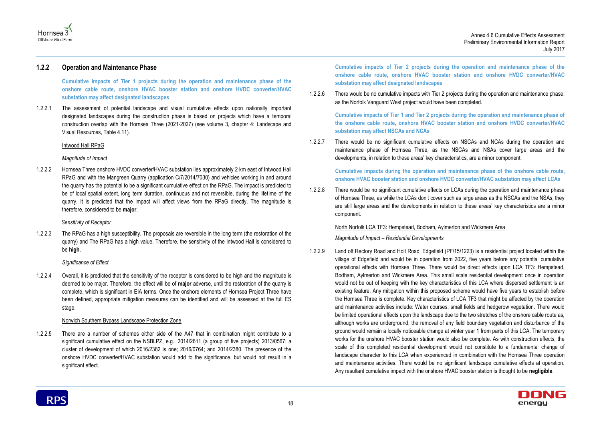Annex 4.6 Cumulative Effects Assessment Preliminary Environmental Information Report July 2017





#### **1.2.2 Operation and Maintenance Phase**

**Cumulative impacts of Tier 1 projects during the operation and maintenance phase of the onshore cable route, onshore HVAC booster station and onshore HVDC converter/HVAC substation may affect designated landscapes** 

1.2.2.1 The assessment of potential landscape and visual cumulative effects upon nationally important designated landscapes during the construction phase is based on projects which have a temporal construction overlap with the Hornsea Three (2021-2027) (see volume 3, chapter 4: Landscape and Visual Resources, Table 4.11).

#### Intwood Hall RPaG

#### *Magnitude of Impact*

1.2.2.2 Hornsea Three onshore HVDC converter/HVAC substation lies approximately 2 km east of Intwood Hall RPaG and with the Mangreen Quarry (application C/7/2014/7030) and vehicles working in and around the quarry has the potential to be a significant cumulative effect on the RPaG. The impact is predicted to be of local spatial extent, long term duration, continuous and not reversible, during the lifetime of the quarry. It is predicted that the impact will affect views from the RPaG directly. The magnitude is therefore, considered to be **major**.

#### *Sensitivity of Receptor*

1.2.2.3 The RPaG has a high susceptibility. The proposals are reversible in the long term (the restoration of the quarry) and The RPaG has a high value. Therefore, the sensitivity of the Intwood Hall is considered to be **high**.

#### *Significance of Effect*

1.2.2.4 Overall, it is predicted that the sensitivity of the receptor is considered to be high and the magnitude is deemed to be major. Therefore, the effect will be of **major** adverse, until the restoration of the quarry is complete, which is significant in EIA terms. Once the onshore elements of Hornsea Project Three have been defined, appropriate mitigation measures can be identified and will be assessed at the full ES stage.

#### Norwich Southern Bypass Landscape Protection Zone

1.2.2.5 There are a number of schemes either side of the A47 that in combination might contribute to a significant cumulative effect on the NSBLPZ, e.g., 2014/2611 (a group of five projects) 2013/0567; a cluster of development of which 2016/2382 is one; 2016/0764; and 2014/2380. The presence of the onshore HVDC converter/HVAC substation would add to the significance, but would not result in a significant effect.

**Cumulative impacts of Tier 2 projects during the operation and maintenance phase of the onshore cable route, onshore HVAC booster station and onshore HVDC converter/HVAC substation may affect designated landscapes**

1.2.2.6 There would be no cumulative impacts with Tier 2 projects during the operation and maintenance phase, as the Norfolk Vanguard West project would have been completed.

**Cumulative impacts of Tier 1 and Tier 2 projects during the operation and maintenance phase of the onshore cable route, onshore HVAC booster station and onshore HVDC converter/HVAC substation may affect NSCAs and NCAs**

1.2.2.7 There would be no significant cumulative effects on NSCAs and NCAs during the operation and maintenance phase of Hornsea Three, as the NSCAs and NSAs cover large areas and the developments, in relation to these areas' key characteristics, are a minor component.

#### **Cumulative impacts during the operation and maintenance phase of the onshore cable route, onshore HVAC booster station and onshore HVDC converter/HVAC substation may affect LCAs**

1.2.2.8 There would be no significant cumulative effects on LCAs during the operation and maintenance phase of Hornsea Three, as while the LCAs don't cover such as large areas as the NSCAs and the NSAs, they are still large areas and the developments in relation to these areas' key characteristics are a minor component.

#### North Norfolk LCA TF3: Hempstead, Bodham, Aylmerton and Wickmere Area

#### *Magnitude of Impact – Residential Developments*

1.2.2.9 Land off Rectory Road and Holt Road, Edgefield (PF/15/1223) is a residential project located within the village of Edgefield and would be in operation from 2022, five years before any potential cumulative operational effects with Hornsea Three. There would be direct effects upon LCA TF3: Hempstead, Bodham, Aylmerton and Wickmere Area. This small scale residential development once in operation would not be out of keeping with the key characteristics of this LCA where dispersed settlement is an existing feature. Any mitigation within this proposed scheme would have five years to establish before the Hornsea Three is complete. Key characteristics of LCA TF3 that might be affected by the operation and maintenance activities include: Water courses, small fields and hedgerow vegetation. There would be limited operational effects upon the landscape due to the two stretches of the onshore cable route as, although works are underground, the removal of any field boundary vegetation and disturbance of the ground would remain a locally noticeable change at winter year 1 from parts of this LCA. The temporary works for the onshore HVAC booster station would also be complete. As with construction effects, the scale of this completed residential development would not constitute to a fundamental change of landscape character to this LCA when experienced in combination with the Hornsea Three operation and maintenance activities. There would be no significant landscape cumulative effects at operation. Any resultant cumulative impact with the onshore HVAC booster station is thought to be **negligible**.

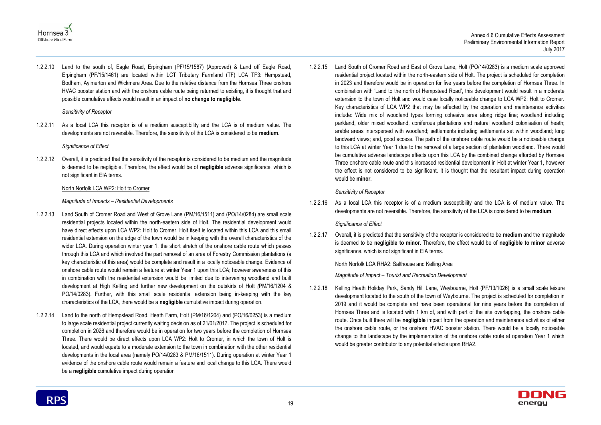



1.2.2.10 Land to the south of, Eagle Road, Erpingham (PF/15/1587) (Approved) & Land off Eagle Road, Erpingham (PF/15/1461) are located within LCT Tributary Farmland (TF) LCA TF3: Hempstead, Bodham, Aylmerton and Wickmere Area. Due to the relative distance from the Hornsea Three onshore HVAC booster station and with the onshore cable route being returned to existing, it is thought that and possible cumulative effects would result in an impact of **no change to negligible**.

#### *Sensitivity of Receptor*

1.2.2.11 As a local LCA this receptor is of a medium susceptibility and the LCA is of medium value. The developments are not reversible. Therefore, the sensitivity of the LCA is considered to be **medium**.

#### *Significance of Effect*

1.2.2.12 Overall, it is predicted that the sensitivity of the receptor is considered to be medium and the magnitude is deemed to be negligible. Therefore, the effect would be of **negligible** adverse significance, which is not significant in EIA terms.

#### North Norfolk LCA WP2: Holt to Cromer

#### *Magnitude of Impacts – Residential Developments*

- 1.2.2.13 Land South of Cromer Road and West of Grove Lane (PM/16/1511) and (PO/14/0284) are small scale residential projects located within the north-eastern side of Holt. The residential development would have direct effects upon LCA WP2: Holt to Cromer. Holt itself is located within this LCA and this small residential extension on the edge of the town would be in keeping with the overall characteristics of the wider LCA. During operation winter year 1, the short stretch of the onshore cable route which passes through this LCA and which involved the part removal of an area of Forestry Commission plantations (a key characteristic of this area) would be complete and result in a locally noticeable change. Evidence of onshore cable route would remain a feature at winter Year 1 upon this LCA; however awareness of this in combination with the residential extension would be limited due to intervening woodland and built development at High Kelling and further new development on the outskirts of Holt *(*PM/16/1204 & PO/14/0283)*.* Further, with this small scale residential extension being in-keeping with the key characteristics of the LCA, there would be a **negligible** cumulative impact during operation.
- 1.2.2.14 Land to the north of Hempstead Road, Heath Farm, Holt (PM/16/1204) and (PO/16/0253) is a medium to large scale residential project currently waiting decision as of 21/01/2017. The project is scheduled for completion in 2026 and therefore would be in operation for two years before the completion of Hornsea Three. There would be direct effects upon LCA WP2: Holt to Cromer, in which the town of Holt is located, and would equate to a moderate extension to the town in combination with the other residential developments in the local area (namely PO/14/0283 & PM/16/1511). During operation at winter Year 1 evidence of the onshore cable route would remain a feature and local change to this LCA. There would be a **negligible** cumulative impact during operation

1.2.2.15 Land South of Cromer Road and East of Grove Lane, Holt (PO/14/0283) is a medium scale approved residential project located within the north-eastern side of Holt. The project is scheduled for completion in 2023 and therefore would be in operation for five years before the completion of Hornsea Three. In combination with 'Land to the north of Hempstead Road', this development would result in a moderate extension to the town of Holt and would case locally noticeable change to LCA WP2: Holt to Cromer. Key characteristics of LCA WP2 that may be affected by the operation and maintenance activities include: Wide mix of woodland types forming cohesive area along ridge line; woodland including parkland, older mixed woodland, coniferous plantations and natural woodland colonisation of heath; arable areas interspersed with woodland; settlements including settlements set within woodland; long landward views; and, good access. The path of the onshore cable route would be a noticeable change to this LCA at winter Year 1 due to the removal of a large section of plantation woodland. There would be cumulative adverse landscape effects upon this LCA by the combined change afforded by Hornsea Three onshore cable route and this increased residential development in Holt at winter Year 1, however the effect is not considered to be significant. It is thought that the resultant impact during operation would be **minor**.

#### *Sensitivity of Receptor*

1.2.2.16 As a local LCA this receptor is of a medium susceptibility and the LCA is of medium value. The developments are not reversible. Therefore, the sensitivity of the LCA is considered to be **medium**.

#### *Significance of Effect*

1.2.2.17 Overall, it is predicted that the sensitivity of the receptor is considered to be **medium** and the magnitude is deemed to be **negligible to minor.** Therefore, the effect would be of **negligible to minor** adverse significance, which is not significant in EIA terms.

#### North Norfolk LCA RHA2: Salthouse and Kelling Area

*Magnitude of Impact – Tourist and Recreation Development*

1.2.2.18 Kellin*g* Heath Holiday Park, Sandy Hill Lane, Weybourne, Holt (PF/13/1026) is a small scale leisure development located to the south of the town of Weybourne. The project is scheduled for completion in 2019 and it would be complete and have been operational for nine years before the completion of Hornsea Three and is located with 1 km of, and with part of the site overlapping, the onshore cable route. Once built there will be **negligible** impact from the operation and maintenance activities of either the onshore cable route, or the onshore HVAC booster station. There would be a locally noticeable change to the landscape by the implementation of the onshore cable route at operation Year 1 which would be greater contributor to any potential effects upon RHA2.

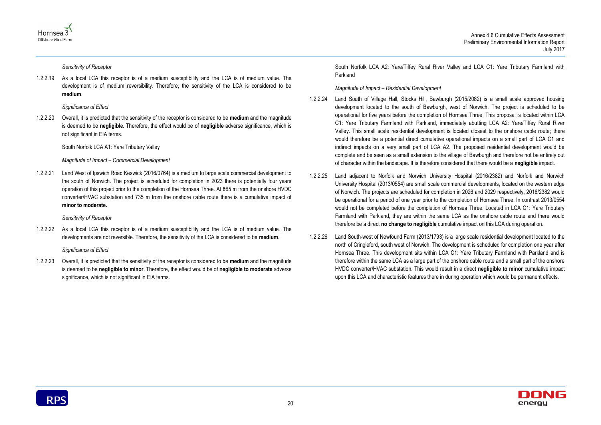



*Sensitivity of Receptor*

1.2.2.19 As a local LCA this receptor is of a medium susceptibility and the LCA is of medium value. The development is of medium reversibility. Therefore, the sensitivity of the LCA is considered to be **medium**.

*Significance of Effect*

1.2.2.20 Overall, it is predicted that the sensitivity of the receptor is considered to be **medium** and the magnitude is deemed to be **negligible.** Therefore, the effect would be of **negligible** adverse significance, which is not significant in EIA terms.

#### South Norfolk LCA A1: Yare Tributary Valley

#### *Magnitude of Impact – Commercial Development*

1.2.2.21 Land West of Ipswich Road Keswick (2016/0764) is a medium to large scale commercial development to the south of Norwich. The project is scheduled for completion in 2023 there is potentially four years operation of this project prior to the completion of the Hornsea Three. At 865 m from the onshore HVDC converter/HVAC substation and 735 m from the onshore cable route there is a cumulative impact of **minor to moderate.**

*Sensitivity of Receptor*

1.2.2.22 As a local LCA this receptor is of a medium susceptibility and the LCA is of medium value. The developments are not reversible. Therefore, the sensitivity of the LCA is considered to be **medium**.

*Significance of Effect*

1.2.2.23 Overall, it is predicted that the sensitivity of the receptor is considered to be **medium** and the magnitude is deemed to be **negligible to minor**. Therefore, the effect would be of **negligible to moderate** adverse significance, which is not significant in EIA terms.

South Norfolk LCA A2: Yare/Tiffey Rural River Valley and LCA C1: Yare Tributary Farmland with Parkland

*Magnitude of Impact – Residential Development*

- 1.2.2.24 Land South of Village Hall, Stocks Hill, Bawburgh (2015/2082) is a small scale approved housing development located to the south of Bawburgh, west of Norwich. The project is scheduled to be operational for five years before the completion of Hornsea Three. This proposal is located within LCA C1: Yare Tributary Farmland with Parkland, immediately abutting LCA A2: Yare/Tiffey Rural River Valley. This small scale residential development is located closest to the onshore cable route; there would therefore be a potential direct cumulative operational impacts on a small part of LCA C1 and indirect impacts on a very small part of LCA A2. The proposed residential development would be complete and be seen as a small extension to the village of Bawburgh and therefore not be entirely out of character within the landscape. It is therefore considered that there would be a **negligible** impact.
- 1.2.2.25 Land adjacent to Norfolk and Norwich University Hospital (2016/2382) and Norfolk and Norwich University Hospital (2013/0554) are small scale commercial developments, located on the western edge of Norwich. The projects are scheduled for completion in 2026 and 2029 respectively, 2016/2382 would be operational for a period of one year prior to the completion of Hornsea Three. In contrast 2013/0554 would not be completed before the completion of Hornsea Three. Located in LCA C1: Yare Tributary Farmland with Parkland, they are within the same LCA as the onshore cable route and there would therefore be a direct **no change to negligible** cumulative impact on this LCA during operation.
- 1.2.2.26 Land South-west of Newfound Farm (2013/1793) is a large scale residential development located to the north of Cringleford, south west of Norwich. The development is scheduled for completion one year after Hornsea Three. This development sits within LCA C1: Yare Tributary Farmland with Parkland and is therefore within the same LCA as a large part of the onshore cable route and a small part of the onshore HVDC converter/HVAC substation. This would result in a direct **negligible to minor** cumulative impact upon this LCA and characteristic features there in during operation which would be permanent effects.

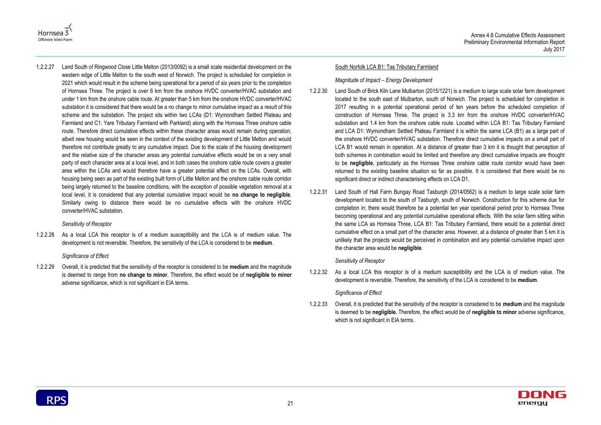



1.2.2.27 Land South of Ringwood Close Little Melton (2013/0092) is a small scale residential development on the western edge of Little Melton to the south west of Norwich. The project is scheduled for completion in 2021 which would result in the scheme being operational for a period of six years prior to the completion of Hornsea Three. The project is over 6 km from the onshore HVDC converter/HVAC substation and under 1 km from the onshore cable route. At greater than 5 km from the onshore HVDC converter/HVAC substation it is considered that there would be a no change to minor cumulative impact as a result of this scheme and the substation. The project sits within two LCAs (D1: Wymondham Settled Plateau and Farmland and C1: Yare Tributary Farmland with Parkland) along with the Hornsea Three onshore cable route. Therefore direct cumulative effects within these character areas would remain during operation, albeit new housing would be seen in the context of the existing development of Little Melton and would therefore not contribute greatly to any cumulative impact. Due to the scale of the housing development and the relative size of the character areas any potential cumulative effects would be on a very small party of each character area at a local level, and in both cases the onshore cable route covers a greater area within the LCAs and would therefore have a greater potential effect on the LCAs. Overall, with housing being seen as part of the existing built form of Little Melton and the onshore cable route corridor being largely returned to the baseline conditions, with the exception of possible vegetation removal at a local level, it is considered that any potential cumulative impact would be **no change to negligible**. Similarly owing to distance there would be no cumulative effects with the onshore HVDC converter/HVAC substation.

#### *Sensitivity of Receptor*

1.2.2.28 As a local LCA this receptor is of a medium susceptibility and the LCA is of medium value. The development is not reversible. Therefore, the sensitivity of the LCA is considered to be **medium**.

#### *Significance of Effect*

1.2.2.29 Overall, it is predicted that the sensitivity of the receptor is considered to be **medium** and the magnitude is deemed to range from **no change to minor**. Therefore, the effect would be of **negligible to minor** adverse significance, which is not significant in EIA terms.

#### South Norfolk LCA B1: Tas Tributary Farmland

#### *Magnitude of Impact – Energy Development*

- 1.2.2.30 Land South of Brick Kiln Lane Mulbarton (2015/1221) is a medium to large scale solar farm development located to the south east of Mulbarton, south of Norwich. The project is scheduled for completion in 2017 resulting in a potential operational period of ten years before the scheduled completion of construction of Hornsea Three. The project is 3.3 km from the onshore HVDC converter/HVAC substation and 1.4 km from the onshore cable route. Located within LCA B1: Tas Tributary Farmland and LCA D1: Wymondham Settled Plateau Farmland it is within the same LCA (B1) as a large part of the onshore HVDC converter/HVAC substation. Therefore direct cumulative impacts on a small part of LCA B1 would remain in operation. At a distance of greater than 3 km it is thought that perception of both schemes in combination would be limited and therefore any direct cumulative impacts are thought to be **negligible**, particularly as the Hornsea Three onshore cable route corridor would have been returned to the existing baseline situation so far as possible. It is considered that there would be no significant direct or indirect characterising effects on LCA D1.
- 1.2.2.31 Land South of Hall Farm Bungay Road Tasburgh (2014/0562) is a medium to large scale solar farm development located to the south of Tasburgh, south of Norwich. Construction for this scheme due for completion in; there would therefore be a potential ten year operational period prior to Hornsea Three becoming operational and any potential cumulative operational effects. With the solar farm sitting within the same LCA as Hornsea Three, LCA B1: Tas Tributary Farmland, there would be a potential direct cumulative effect on a small part of the character area. However, at a distance of greater than 5 km it is unlikely that the projects would be perceived in combination and any potential cumulative impact upon the character area would be **negligible**.

#### *Sensitivity of Receptor*

1.2.2.32 As a local LCA this receptor is of a medium susceptibility and the LCA is of medium value. The development is reversible. Therefore, the sensitivity of the LCA is considered to be **medium**.

#### *Significance of Effect*

1.2.2.33 Overall, it is predicted that the sensitivity of the receptor is considered to be **medium** and the magnitude is deemed to be **negligible.** Therefore, the effect would be of **negligible to minor** adverse significance, which is not significant in EIA terms.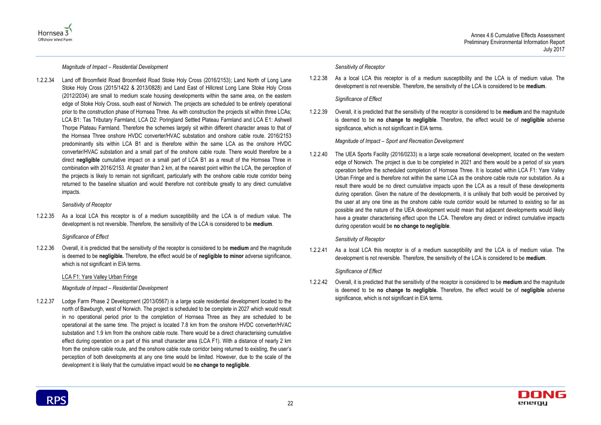



*Magnitude of Impact – Residential Development*

1.2.2.34 Land off Broomfield Road Broomfield Road Stoke Holy Cross (2016/2153); Land North of Long Lane Stoke Holy Cross (2015/1422 & 2013/0828) and Land East of Hillcrest Long Lane Stoke Holy Cross (2012/2034) are small to medium scale housing developments within the same area, on the eastern edge of Stoke Holy Cross, south east of Norwich. The projects are scheduled to be entirely operational prior to the construction phase of Hornsea Three. As with construction the projects sit within three LCAs; LCA B1: Tas Tributary Farmland, LCA D2: Poringland Settled Plateau Farmland and LCA E1: Ashwell Thorpe Plateau Farmland. Therefore the schemes largely sit within different character areas to that of the Hornsea Three onshore HVDC converter/HVAC substation and onshore cable route. 2016/2153 predominantly sits within LCA B1 and is therefore within the same LCA as the onshore HVDC converter/HVAC substation and a small part of the onshore cable route. There would therefore be a direct **negligible** cumulative impact on a small part of LCA B1 as a result of the Hornsea Three in combination with 2016/2153. At greater than 2 km, at the nearest point within the LCA, the perception of the projects is likely to remain not significant, particularly with the onshore cable route corridor being returned to the baseline situation and would therefore not contribute greatly to any direct cumulative impacts.

#### *Sensitivity of Receptor*

1.2.2.35 As a local LCA this receptor is of a medium susceptibility and the LCA is of medium value. The development is not reversible. Therefore, the sensitivity of the LCA is considered to be **medium**.

#### *Significance of Effect*

1.2.2.36 Overall, it is predicted that the sensitivity of the receptor is considered to be **medium** and the magnitude is deemed to be **negligible.** Therefore, the effect would be of **negligible to minor** adverse significance, which is not significant in EIA terms.

#### LCA F1: Yare Valley Urban Fringe

#### *Magnitude of Impact – Residential Development*

1.2.2.37 Lodge Farm Phase 2 Development (2013/0567) is a large scale residential development located to the north of Bawburgh, west of Norwich. The project is scheduled to be complete in 2027 which would result in no operational period prior to the completion of Hornsea Three as they are scheduled to be operational at the same time. The project is located 7.8 km from the onshore HVDC converter/HVAC substation and 1.9 km from the onshore cable route. There would be a direct characterising cumulative effect during operation on a part of this small character area (LCA F1). With a distance of nearly 2 km from the onshore cable route, and the onshore cable route corridor being returned to existing, the user's perception of both developments at any one time would be limited. However, due to the scale of the development it is likely that the cumulative impact would be **no change to negligible**.

#### *Sensitivity of Receptor*

1.2.2.38 As a local LCA this receptor is of a medium susceptibility and the LCA is of medium value. The development is not reversible. Therefore, the sensitivity of the LCA is considered to be **medium**.

#### *Significance of Effect*

1.2.2.39 Overall, it is predicted that the sensitivity of the receptor is considered to be **medium** and the magnitude is deemed to be **no change to negligible**. Therefore, the effect would be of **negligible** adverse significance, which is not significant in EIA terms.

#### *Magnitude of Impact – Sport and Recreation Development*

1.2.2.40 The UEA Sports Facility (2016/0233) is a large scale recreational development, located on the western edge of Norwich. The project is due to be completed in 2021 and there would be a period of six years operation before the scheduled completion of Hornsea Three. It is located within LCA F1: Yare Valley Urban Fringe and is therefore not within the same LCA as the onshore cable route nor substation. As a result there would be no direct cumulative impacts upon the LCA as a result of these developments during operation. Given the nature of the developments, it is unlikely that both would be perceived by the user at any one time as the onshore cable route corridor would be returned to existing so far as possible and the nature of the UEA development would mean that adjacent developments would likely have a greater characterising effect upon the LCA. Therefore any direct or indirect cumulative impacts during operation would be **no change to negligible**.

#### *Sensitivity of Receptor*

1.2.2.41 As a local LCA this receptor is of a medium susceptibility and the LCA is of medium value. The development is not reversible. Therefore, the sensitivity of the LCA is considered to be **medium**.

#### *Significance of Effect*

1.2.2.42 Overall, it is predicted that the sensitivity of the receptor is considered to be **medium** and the magnitude is deemed to be **no change to negligible.** Therefore, the effect would be of **negligible** adverse significance, which is not significant in EIA terms.

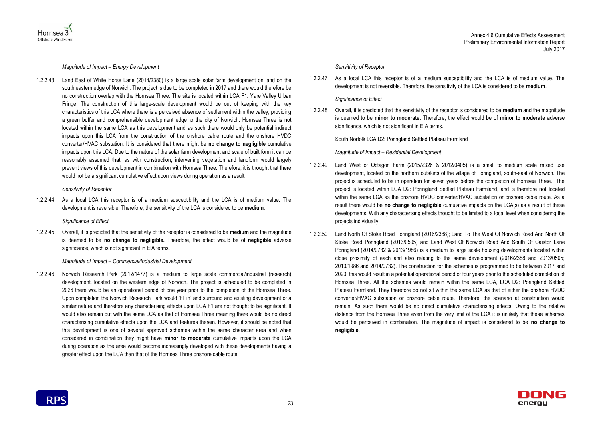



*Magnitude of Impact – Energy Development*

1.2.2.43 Land East of White Horse Lane (2014/2380) is a large scale solar farm development on land on the south eastern edge of Norwich. The project is due to be completed in 2017 and there would therefore be no construction overlap with the Hornsea Three. The site is located within LCA F1: Yare Valley Urban Fringe. The construction of this large-scale development would be out of keeping with the key characteristics of this LCA where there is a perceived absence of settlement within the valley, providing a green buffer and comprehensible development edge to the city of Norwich. Hornsea Three is not located within the same LCA as this development and as such there would only be potential indirect impacts upon this LCA from the construction of the onshore cable route and the onshore HVDC converter/HVAC substation. It is considered that there might be **no change to negligible** cumulative impacts upon this LCA. Due to the nature of the solar farm development and scale of built form it can be reasonably assumed that, as with construction, intervening vegetation and landform would largely prevent views of this development in combination with Hornsea Three. Therefore, it is thought that there would not be a significant cumulative effect upon views during operation as a result.

#### *Sensitivity of Receptor*

1.2.2.44 As a local LCA this receptor is of a medium susceptibility and the LCA is of medium value. The development is reversible. Therefore, the sensitivity of the LCA is considered to be **medium**.

*Significance of Effect*

1.2.2.45 Overall, it is predicted that the sensitivity of the receptor is considered to be **medium** and the magnitude is deemed to be **no change to negligible.** Therefore, the effect would be of **negligible** adverse significance, which is not significant in EIA terms.

#### *Magnitude of Impact – Commercial/Industrial Development*

1.2.2.46 Norwich Research Park (2012/1477) is a medium to large scale commercial/industrial (research) development, located on the western edge of Norwich. The project is scheduled to be completed in 2026 there would be an operational period of one year prior to the completion of the Hornsea Three. Upon completion the Norwich Research Park would 'fill in' and surround and existing development of a similar nature and therefore any characterising effects upon LCA F1 are not thought to be significant. It would also remain out with the same LCA as that of Hornsea Three meaning there would be no direct characterising cumulative effects upon the LCA and features therein. However, it should be noted that this development is one of several approved schemes within the same character area and when considered in combination they might have **minor to moderate** cumulative impacts upon the LCA during operation as the area would become increasingly developed with these developments having a greater effect upon the LCA than that of the Hornsea Three onshore cable route.

#### *Sensitivity of Receptor*

1.2.2.47 As a local LCA this receptor is of a medium susceptibility and the LCA is of medium value. The development is not reversible. Therefore, the sensitivity of the LCA is considered to be **medium**.

#### *Significance of Effect*

1.2.2.48 Overall, it is predicted that the sensitivity of the receptor is considered to be **medium** and the magnitude is deemed to be **minor to moderate.** Therefore, the effect would be of **minor to moderate** adverse significance, which is not significant in EIA terms.

#### South Norfolk LCA D2: Poringland Settled Plateau Farmland

*Magnitude of Impact – Residential Development*

- 1.2.2.49 Land West of Octagon Farm (2015/2326 & 2012/0405) is a small to medium scale mixed use development, located on the northern outskirts of the village of Poringland, south-east of Norwich. The project is scheduled to be in operation for seven years before the completion of Hornsea Three. The project is located within LCA D2: Poringland Settled Plateau Farmland, and is therefore not located within the same LCA as the onshore HVDC converter/HVAC substation or onshore cable route. As a result there would be **no change to negligible** cumulative impacts on the LCA(s) as a result of these developments. With any characterising effects thought to be limited to a local level when considering the projects individually.
- 1.2.2.50 Land North Of Stoke Road Poringland (2016/2388); Land To The West Of Norwich Road And North Of Stoke Road Poringland (2013/0505) and Land West Of Norwich Road And South Of Caistor Lane Poringland (2014/0732 & 2013/1986) is a medium to large scale housing developments located within close proximity of each and also relating to the same development (2016/2388 and 2013/0505; 2013/1986 and 2014/0732). The construction for the schemes is programmed to be between 2017 and 2023, this would result in a potential operational period of four years prior to the scheduled completion of Hornsea Three. All the schemes would remain within the same LCA, LCA D2: Poringland Settled Plateau Farmland. They therefore do not sit within the same LCA as that of either the onshore HVDC converter/HVAC substation or onshore cable route. Therefore, the scenario at construction would remain. As such there would be no direct cumulative characterising effects. Owing to the relative distance from the Hornsea Three even from the very limit of the LCA it is unlikely that these schemes would be perceived in combination. The magnitude of impact is considered to be **no change to negligible**.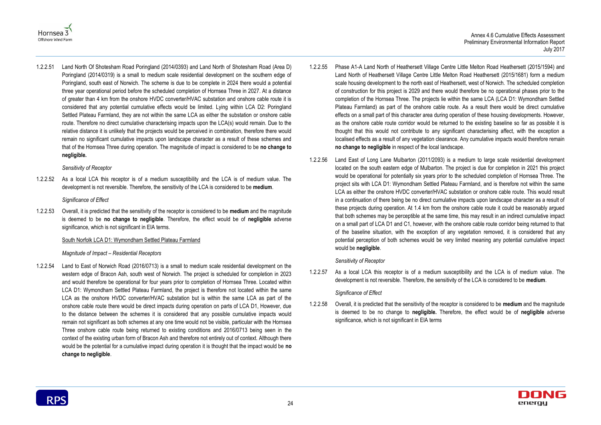



1.2.2.51 Land North Of Shotesham Road Poringland (2014/0393) and Land North of Shotesham Road (Area D) Poringland (2014/0319) is a small to medium scale residential development on the southern edge of Poringland, south east of Norwich. The scheme is due to be complete in 2024 there would a potential three year operational period before the scheduled completion of Hornsea Three in 2027. At a distance of greater than 4 km from the onshore HVDC converter/HVAC substation and onshore cable route it is considered that any potential cumulative effects would be limited. Lying within LCA D2: Poringland Settled Plateau Farmland, they are not within the same LCA as either the substation or onshore cable route. Therefore no direct cumulative characterising impacts upon the LCA(s) would remain. Due to the relative distance it is unlikely that the projects would be perceived in combination, therefore there would remain no significant cumulative impacts upon landscape character as a result of these schemes and that of the Hornsea Three during operation. The magnitude of impact is considered to be **no change to negligible.**

*Sensitivity of Receptor*

1.2.2.52 As a local LCA this receptor is of a medium susceptibility and the LCA is of medium value. The development is not reversible. Therefore, the sensitivity of the LCA is considered to be **medium**.

*Significance of Effect*

1.2.2.53 Overall, it is predicted that the sensitivity of the receptor is considered to be **medium** and the magnitude is deemed to be **no change to negligible**. Therefore, the effect would be of **negligible** adverse significance, which is not significant in EIA terms.

#### South Norfolk LCA D1: Wymondham Settled Plateau Farmland

#### *Magnitude of Impact – Residential Receptors*

1.2.2.54 Land to East of Norwich Road (2016/0713) is a small to medium scale residential development on the western edge of Bracon Ash, south west of Norwich. The project is scheduled for completion in 2023 and would therefore be operational for four years prior to completion of Hornsea Three. Located within LCA D1: Wymondham Settled Plateau Farmland, the project is therefore not located within the same LCA as the onshore HVDC converter/HVAC substation but is within the same LCA as part of the onshore cable route there would be direct impacts during operation on parts of LCA D1, However, due to the distance between the schemes it is considered that any possible cumulative impacts would remain not significant as both schemes at any one time would not be visible, particular with the Hornsea Three onshore cable route being returned to existing conditions and 2016/0713 being seen in the context of the existing urban form of Bracon Ash and therefore not entirely out of context. Although there would be the potential for a cumulative impact during operation it is thought that the impact would be **no change to negligible**.

- 1.2.2.55 Phase A1-A Land North of Heathersett Village Centre Little Melton Road Heathersett (2015/1594) and Land North of Heathersett Village Centre Little Melton Road Heathersett (2015/1681) form a medium scale housing development to the north east of Heathersett, west of Norwich. The scheduled completion of construction for this project is 2029 and there would therefore be no operational phases prior to the completion of the Hornsea Three. The projects lie within the same LCA (LCA D1: Wymondham Settled Plateau Farmland) as part of the onshore cable route. As a result there would be direct cumulative effects on a small part of this character area during operation of these housing developments. However, as the onshore cable route corridor would be returned to the existing baseline so far as possible it is thought that this would not contribute to any significant characterising affect, with the exception a localised effects as a result of any vegetation clearance. Any cumulative impacts would therefore remain **no change to negligible** in respect of the local landscape.
- 1.2.2.56 Land East of Long Lane Mulbarton (2011/2093) is a medium to large scale residential development located on the south eastern edge of Mulbarton. The project is due for completion in 2021 this project would be operational for potentially six years prior to the scheduled completion of Hornsea Three. The project sits with LCA D1: Wymondham Settled Plateau Farmland, and is therefore not within the same LCA as either the onshore HVDC converter/HVAC substation or onshore cable route. This would result in a continuation of there being be no direct cumulative impacts upon landscape character as a result of these projects during operation. At 1.4 km from the onshore cable route it could be reasonably argued that both schemes may be perceptible at the same time, this may result in an indirect cumulative impact on a small part of LCA D1 and C1, however, with the onshore cable route corridor being returned to that of the baseline situation, with the exception of any vegetation removed, it is considered that any potential perception of both schemes would be very limited meaning any potential cumulative impact would be **negligible**.

#### *Sensitivity of Receptor*

1.2.2.57 As a local LCA this receptor is of a medium susceptibility and the LCA is of medium value. The development is not reversible. Therefore, the sensitivity of the LCA is considered to be **medium**.

#### *Significance of Effect*

1.2.2.58 Overall, it is predicted that the sensitivity of the receptor is considered to be **medium** and the magnitude is deemed to be no change to **negligible.** Therefore, the effect would be of **negligible** adverse significance, which is not significant in EIA terms

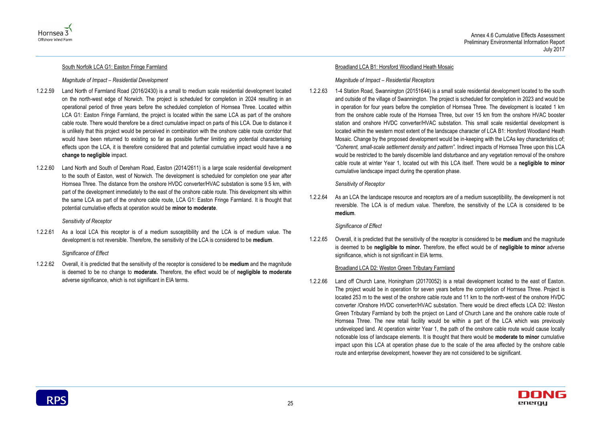



#### South Norfolk LCA G1: Easton Fringe Farmland

#### *Magnitude of Impact – Residential Development*

- 1.2.2.59 Land North of Farmland Road (2016/2430) is a small to medium scale residential development located on the north-west edge of Norwich. The project is scheduled for completion in 2024 resulting in an operational period of three years before the scheduled completion of Hornsea Three. Located within LCA G1: Easton Fringe Farmland, the project is located within the same LCA as part of the onshore cable route. There would therefore be a direct cumulative impact on parts of this LCA. Due to distance it is unlikely that this project would be perceived in combination with the onshore cable route corridor that would have been returned to existing so far as possible further limiting any potential characterising effects upon the LCA, it is therefore considered that and potential cumulative impact would have a **no change to negligible** impact.
- 1.2.2.60 Land North and South of Dereham Road, Easton (2014/2611) is a large scale residential development to the south of Easton, west of Norwich. The development is scheduled for completion one year after Hornsea Three. The distance from the onshore HVDC converter/HVAC substation is some 9.5 km, with part of the development immediately to the east of the onshore cable route. This development sits within the same LCA as part of the onshore cable route, LCA G1: Easton Fringe Farmland. It is thought that potential cumulative effects at operation would be **minor to moderate**.

#### *Sensitivity of Receptor*

1.2.2.61 As a local LCA this receptor is of a medium susceptibility and the LCA is of medium value. The development is not reversible. Therefore, the sensitivity of the LCA is considered to be **medium**.

#### *Significance of Effect*

1.2.2.62 Overall, it is predicted that the sensitivity of the receptor is considered to be **medium** and the magnitude is deemed to be no change to **moderate.** Therefore, the effect would be of **negligible to moderate**  adverse significance, which is not significant in EIA terms.

#### Broadland LCA B1: Horsford Woodland Heath Mosaic

#### *Magnitude of Impact – Residential Receptors*

1.2.2.63 1-4 Station Road, Swannington (20151644) is a small scale residential development located to the south and outside of the village of Swannington. The project is scheduled for completion in 2023 and would be in operation for four years before the completion of Hornsea Three. The development is located 1 km from the onshore cable route of the Hornsea Three, but over 15 km from the onshore HVAC booster station and onshore HVDC converter/HVAC substation. This small scale residential development is located within the western most extent of the landscape character of LCA B1: Horsford Woodland Heath Mosaic. Change by the proposed development would be in-keeping with the LCAs key characteristics of; *"Coherent, small-scale settlement density and pattern".* Indirect impacts of Hornsea Three upon this LCA would be restricted to the barely discernible land disturbance and any vegetation removal of the onshore cable route at winter Year 1, located out with this LCA itself. There would be a **negligible to minor** cumulative landscape impact during the operation phase.

#### *Sensitivity of Receptor*

1.2.2.64 As an LCA the landscape resource and receptors are of a medium susceptibility, the development is not reversible. The LCA is of medium value. Therefore, the sensitivity of the LCA is considered to be **medium**.

#### *Significance of Effect*

1.2.2.65 Overall, it is predicted that the sensitivity of the receptor is considered to be **medium** and the magnitude is deemed to be **negligible to minor.** Therefore, the effect would be of **negligible to minor** adverse significance, which is not significant in EIA terms.

#### Broadland LCA D2: Weston Green Tributary Farmland

1.2.2.66 Land off Church Lane, Honingham (20170052) is a retail development located to the east of Easton. The project would be in operation for seven years before the completion of Hornsea Three. Project is located 253 m to the west of the onshore cable route and 11 km to the north-west of the onshore HVDC converter /Onshore HVDC converter/HVAC substation. There would be direct effects LCA D2: Weston Green Tributary Farmland by both the project on Land of Church Lane and the onshore cable route of Hornsea Three. The new retail facility would be within a part of the LCA which was previously undeveloped land. At operation winter Year 1, the path of the onshore cable route would cause locally noticeable loss of landscape elements. It is thought that there would be **moderate to minor** cumulative impact upon this LCA at operation phase due to the scale of the area affected by the onshore cable route and enterprise development, however they are not considered to be significant.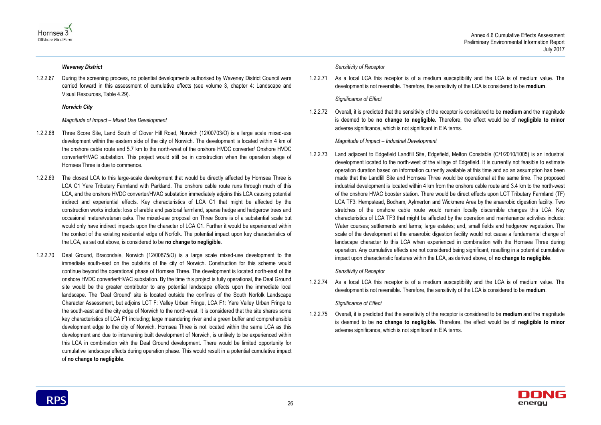



#### *Waveney District*

1.2.2.67 During the screening process, no potential developments authorised by Waveney District Council were carried forward in this assessment of cumulative effects (see volume 3, chapter 4: Landscape and Visual Resources, Table 4.29).

#### *Norwich City*

#### *Magnitude of Impact – Mixed Use Development*

- 1.2.2.68 Three Score Site, Land South of Clover Hill Road, Norwich (12/00703/O) is a large scale mixed-use development within the eastern side of the city of Norwich. The development is located within 4 km of the onshore cable route and 5.7 km to the north-west of the onshore HVDC converter/ Onshore HVDC converter/HVAC substation. This project would still be in construction when the operation stage of Hornsea Three is due to commence.
- 1.2.2.69 The closest LCA to this large-scale development that would be directly affected by Hornsea Three is LCA C1 Yare Tributary Farmland with Parkland. The onshore cable route runs through much of this LCA, and the onshore HVDC converter/HVAC substation immediately adjoins this LCA causing potential indirect and experiential effects. Key characteristics of LCA C1 that might be affected by the construction works include: loss of arable and pastoral farmland, sparse hedge and hedgerow trees and occasional mature/veteran oaks. The mixed-use proposal on Three Score is of a substantial scale but would only have indirect impacts upon the character of LCA C1. Further it would be experienced within the context of the existing residential edge of Norfolk. The potential impact upon key characteristics of the LCA, as set out above, is considered to be **no change to negligible**.
- 1.2.2.70 Deal Ground, Bracondale, Norwich (12/00875/O) is a large scale mixed-use development to the immediate south-east on the outskirts of the city of Norwich. Construction for this scheme would continue beyond the operational phase of Hornsea Three. The development is located north-east of the onshore HVDC converter/HVAC substation. By the time this project is fully operational, the Deal Ground site would be the greater contributor to any potential landscape effects upon the immediate local landscape. The 'Deal Ground' site is located outside the confines of the South Norfolk Landscape Character Assessment, but adjoins LCT F: Valley Urban Fringe, LCA F1: Yare Valley Urban Fringe to the south-east and the city edge of Norwich to the north-west. It is considered that the site shares some key characteristics of LCA F1 including; large meandering river and a green buffer and comprehensible development edge to the city of Norwich. Hornsea Three is not located within the same LCA as this development and due to intervening built development of Norwich, is unlikely to be experienced within this LCA in combination with the Deal Ground development. There would be limited opportunity for cumulative landscape effects during operation phase. This would result in a potential cumulative impact of **no change to negligible**.

#### *Sensitivity of Receptor*

1.2.2.71 As a local LCA this receptor is of a medium susceptibility and the LCA is of medium value. The development is not reversible. Therefore, the sensitivity of the LCA is considered to be **medium**.

#### *Significance of Effect*

1.2.2.72 Overall, it is predicted that the sensitivity of the receptor is considered to be **medium** and the magnitude is deemed to be **no change to negligible.** Therefore, the effect would be of **negligible to minor** adverse significance, which is not significant in EIA terms.

#### *Magnitude of Impact – Industrial Development*

1.2.2.73 Land adjacent to Edgefield Landfill Site, Edgefield, Melton Constable (C/1/2010/1005) is an industrial development located to the north-west of the village of Edgefield. It is currently not feasible to estimate operation duration based on information currently available at this time and so an assumption has been made that the Landfill Site and Hornsea Three would be operational at the same time. The proposed industrial development is located within 4 km from the onshore cable route and 3.4 km to the north-west of the onshore HVAC booster station. There would be direct effects upon LCT Tributary Farmland (TF) LCA TF3: Hempstead, Bodham, Aylmerton and Wickmere Area by the anaerobic digestion facility. Two stretches of the onshore cable route would remain locally discernible changes this LCA. Key characteristics of LCA TF3 that might be affected by the operation and maintenance activities include: Water courses; settlements and farms; large estates; and, small fields and hedgerow vegetation. The scale of the development at the anaerobic digestion facility would not cause a fundamental change of landscape character to this LCA when experienced in combination with the Hornsea Three during operation. Any cumulative effects are not considered being significant, resulting in a potential cumulative impact upon characteristic features within the LCA, as derived above, of **no change to negligible**.

#### *Sensitivity of Receptor*

1.2.2.74 As a local LCA this receptor is of a medium susceptibility and the LCA is of medium value. The development is not reversible. Therefore, the sensitivity of the LCA is considered to be **medium**.

#### *Significance of Effect*

1.2.2.75 Overall, it is predicted that the sensitivity of the receptor is considered to be **medium** and the magnitude is deemed to be **no change to negligible.** Therefore, the effect would be of **negligible to minor** adverse significance, which is not significant in EIA terms.

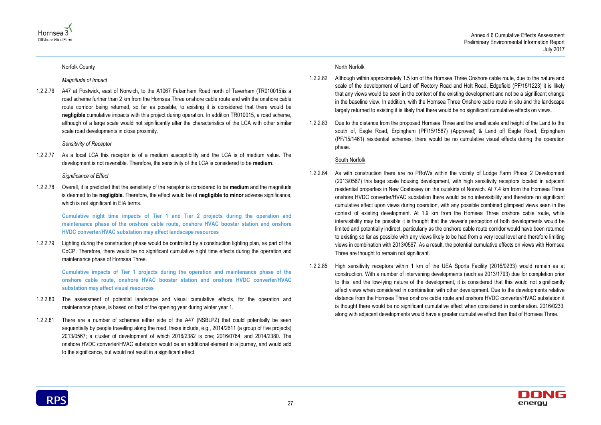



#### Norfolk County

*Magnitude of Impact* 

1.2.2.76 A47 at Postwick, east of Norwich, to the A1067 Fakenham Road north of Taverham (TR010015)is a road scheme further than 2 km from the Hornsea Three onshore cable route and with the onshore cable route corridor being returned, so far as possible, to existing it is considered that there would be **negligible** cumulative impacts with this project during operation. In addition TR010015, a road scheme, although of a large scale would not significantly alter the characteristics of the LCA with other similar scale road developments in close proximity.

#### *Sensitivity of Receptor*

1.2.2.77 As a local LCA this receptor is of a medium susceptibility and the LCA is of medium value. The development is not reversible. Therefore, the sensitivity of the LCA is considered to be **medium**.

#### *Significance of Effect*

1.2.2.78 Overall, it is predicted that the sensitivity of the receptor is considered to be **medium** and the magnitude is deemed to be **negligible.** Therefore, the effect would be of **negligible to minor** adverse significance, which is not significant in EIA terms.

**Cumulative night time impacts of Tier 1 and Tier 2 projects during the operation and maintenance phase of the onshore cable route, onshore HVAC booster station and onshore HVDC converter/HVAC substation may affect landscape resources**

1.2.2.79 Lighting during the construction phase would be controlled by a construction lighting plan, as part of the CoCP. Therefore, there would be no significant cumulative night time effects during the operation and maintenance phase of Hornsea Three.

**Cumulative impacts of Tier 1 projects during the operation and maintenance phase of the onshore cable route, onshore HVAC booster station and onshore HVDC converter/HVAC substation may affect visual resources** 

- 1.2.2.80 The assessment of potential landscape and visual cumulative effects, for the operation and maintenance phase, is based on that of the opening year during winter year 1.
- 1.2.2.81 There are a number of schemes either side of the A47 (NSBLPZ) that could potentially be seen sequentially by people travelling along the road, these include, e.g., 2014/2611 (a group of five projects) 2013/0567; a cluster of development of which 2016/2382 is one; 2016/0764; and 2014/2380. The onshore HVDC converter/HVAC substation would be an additional element in a journey, and would add to the significance, but would not result in a significant effect.

#### North Norfolk

- 1.2.2.82 Although within approximately 1.5 km of the Hornsea Three Onshore cable route, due to the nature and scale of the development of Land off Rectory Road and Holt Road, Edgefield (PF/15/1223) it is likely that any views would be seen in the context of the existing development and not be a significant change in the baseline view. In addition, with the Hornsea Three Onshore cable route in situ and the landscape largely returned to existing it is likely that there would be no significant cumulative effects on views.
- 1.2.2.83 Due to the distance from the proposed Hornsea Three and the small scale and height of the Land to the south of, Eagle Road, Erpingham (PF/15/1587) (Approved) & Land off Eagle Road, Erpingham (PF/15/1461) residential schemes, there would be no cumulative visual effects during the operation phase.

#### South Norfolk

- 1.2.2.84 As with construction there are no PRoWs within the vicinity of Lodge Farm Phase 2 Development (2013/0567) this large scale housing development, with high sensitivity receptors located in adjacent residential properties in New Costessey on the outskirts of Norwich. At 7.4 km from the Hornsea Three onshore HVDC converter/HVAC substation there would be no intervisibility and therefore no significant cumulative effect upon views during operation, with any possible combined glimpsed views seen in the context of existing development. At 1.9 km from the Hornsea Three onshore cable route, while intervisibility may be possible it is thought that the viewer's perception of both developments would be limited and potentially indirect, particularly as the onshore cable route corridor would have been returned to existing so far as possible with any views likely to be had from a very local level and therefore limiting views in combination with 2013/0567. As a result, the potential cumulative effects on views with Hornsea Three are thought to remain not significant.
- 1.2.2.85 High sensitivity receptors within 1 km of the UEA Sports Facility (2016/0233) would remain as at construction. With a number of intervening developments (such as 2013/1793) due for completion prior to this, and the low-lying nature of the development, it is considered that this would not significantly affect views when considered in combination with other development. Due to the developments relative distance from the Hornsea Three onshore cable route and onshore HVDC converter/HVAC substation it is thought there would be no significant cumulative effect when considered in combination. 2016/0233, along with adjacent developments would have a greater cumulative effect than that of Hornsea Three.

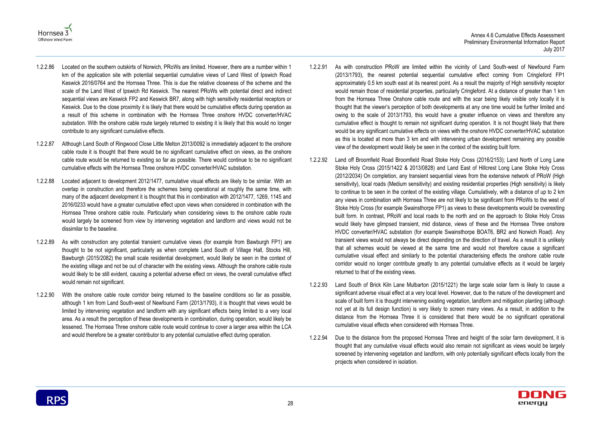



- 1.2.2.86 Located on the southern outskirts of Norwich, PRoWs are limited. However, there are a number within 1 km of the application site with potential sequential cumulative views of Land West of Ipswich Road Keswick 2016/0764 and the Hornsea Three. This is due the relative closeness of the scheme and the scale of the Land West of Ipswich Rd Keswick. The nearest PRoWs with potential direct and indirect sequential views are Keswick FP2 and Keswick BR7, along with high sensitivity residential receptors or Keswick. Due to the close proximity it is likely that there would be cumulative effects during operation as a result of this scheme in combination with the Hornsea Three onshore HVDC converter/HVAC substation. With the onshore cable route largely returned to existing it is likely that this would no longer contribute to any significant cumulative effects.
- 1.2.2.87 Although Land South of Ringwood Close Little Melton 2013/0092 is immediately adjacent to the onshore cable route it is thought that there would be no significant cumulative effect on views, as the onshore cable route would be returned to existing so far as possible. There would continue to be no significant cumulative effects with the Hornsea Three onshore HVDC converter/HVAC substation.
- 1.2.2.88 Located adjacent to development 2012/1477, cumulative visual effects are likely to be similar. With an overlap in construction and therefore the schemes being operational at roughly the same time, with many of the adjacent development it is thought that this in combination with 2012/1477, 1269, 1145 and 2016/0233 would have a greater cumulative effect upon views when considered in combination with the Hornsea Three onshore cable route. Particularly when considering views to the onshore cable route would largely be screened from view by intervening vegetation and landform and views would not be dissimilar to the baseline.
- 1.2.2.89 As with construction any potential transient cumulative views (for example from Bawburgh FP1) are thought to be not significant, particularly as when complete Land South of Village Hall, Stocks Hill, Bawburgh (2015/2082) the small scale residential development, would likely be seen in the context of the existing village and not be out of character with the existing views. Although the onshore cable route would likely to be still evident, causing a potential adverse effect on views, the overall cumulative effect would remain not significant.
- 1.2.2.90 With the onshore cable route corridor being returned to the baseline conditions so far as possible, although 1 km from Land South-west of Newfound Farm (2013/1793), it is thought that views would be limited by intervening vegetation and landform with any significant effects being limited to a very local area. As a result the perception of these developments in combination, during operation, would likely be lessened. The Hornsea Three onshore cable route would continue to cover a larger area within the LCA and would therefore be a greater contributor to any potential cumulative effect during operation.
- 1.2.2.91 As with construction PRoW are limited within the vicinity of Land South-west of Newfound Farm (2013/1793), the nearest potential sequential cumulative effect coming from Cringleford FP1 approximately 0.5 km south east at its nearest point. As a result the majority of High sensitivity receptor would remain those of residential properties, particularly Cringleford. At a distance of greater than 1 km from the Hornsea Three Onshore cable route and with the scar being likely visible only locally it is thought that the viewer's perception of both developments at any one time would be further limited and owing to the scale of 2013/1793, this would have a greater influence on views and therefore any cumulative effect is thought to remain not significant during operation. It is not thought likely that there would be any significant cumulative effects on views with the onshore HVDC converter/HVAC substation as this is located at more than 3 km and with intervening urban development remaining any possible view of the development would likely be seen in the context of the existing built form.
- 1.2.2.92 Land off Broomfield Road Broomfield Road Stoke Holy Cross (2016/2153); Land North of Long Lane Stoke Holy Cross (2015/1422 & 2013/0828) and Land East of Hillcrest Long Lane Stoke Holy Cross (2012/2034) On completion, any transient sequential views from the extensive network of PRoW (High sensitivity), local roads (Medium sensitivity) and existing residential properties (High sensitivity) is likely to continue to be seen in the context of the existing village. Cumulatively, with a distance of up to 2 km any views in combination with Hornsea Three are not likely to be significant from PRoWs to the west of Stoke Holy Cross (for example Swainsthorpe FP1) as views to these developments would be overexiting built form. In contrast, PRoW and local roads to the north and on the approach to Stoke Holy Cross would likely have glimpsed transient, mid distance, views of these and the Hornsea Three onshore HVDC converter/HVAC substation (for example Swainsthorpe BOAT6, BR2 and Norwich Road). Any transient views would not always be direct depending on the direction of travel. As a result it is unlikely that all schemes would be viewed at the same time and would not therefore cause a significant cumulative visual effect and similarly to the potential characterising effects the onshore cable route corridor would no longer contribute greatly to any potential cumulative effects as it would be largely returned to that of the existing views.
- 1.2.2.93 Land South of Brick Kiln Lane Mulbarton (2015/1221) the large scale solar farm is likely to cause a significant adverse visual effect at a very local level. However, due to the nature of the development and scale of built form it is thought intervening existing vegetation, landform and mitigation planting (although not yet at its full design function) is very likely to screen many views. As a result, in addition to the distance from the Hornsea Three it is considered that there would be no significant operational cumulative visual effects when considered with Hornsea Three.
- 1.2.2.94 Due to the distance from the proposed Hornsea Three and height of the solar farm development, it is thought that any cumulative visual effects would also remain not significant as views would be largely screened by intervening vegetation and landform, with only potentially significant effects locally from the projects when considered in isolation.

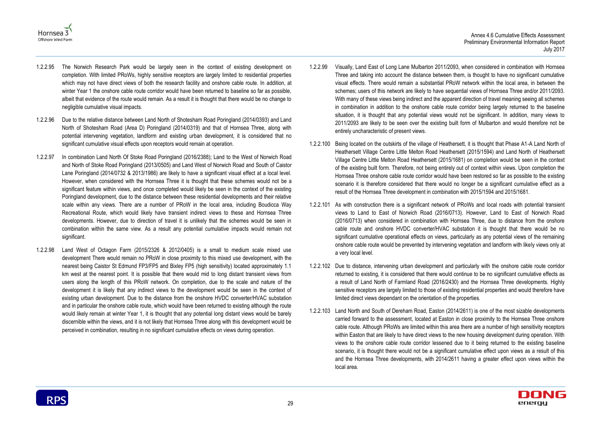



- 1.2.2.95 The Norwich Research Park would be largely seen in the context of existing development on completion. With limited PRoWs, highly sensitive receptors are largely limited to residential properties which may not have direct views of both the research facility and onshore cable route. In addition, at winter Year 1 the onshore cable route corridor would have been returned to baseline so far as possible, albeit that evidence of the route would remain. As a result it is thought that there would be no change to negligible cumulative visual impacts.
- 1.2.2.96 Due to the relative distance between Land North of Shotesham Road Poringland (2014/0393) and Land North of Shotesham Road (Area D) Poringland (2014/0319) and that of Hornsea Three, along with potential intervening vegetation, landform and existing urban development, it is considered that no significant cumulative visual effects upon receptors would remain at operation.
- 1.2.2.97 In combination Land North Of Stoke Road Poringland (2016/2388); Land to the West of Norwich Road and North of Stoke Road Poringland (2013/0505) and Land West of Norwich Road and South of Caistor Lane Poringland (2014/0732 & 2013/1986) are likely to have a significant visual effect at a local level. However, when considered with the Hornsea Three it is thought that these schemes would not be a significant feature within views, and once completed would likely be seen in the context of the existing Poringland development, due to the distance between these residential developments and their relative scale within any views. There are a number of PRoW in the local area, including Boudicca Way Recreational Route, which would likely have transient indirect views to these and Hornsea Three developments. However, due to direction of travel it is unlikely that the schemes would be seen in combination within the same view. As a result any potential cumulative impacts would remain not significant.
- 1.2.2.98 Land West of Octagon Farm (2015/2326 & 2012/0405) is a small to medium scale mixed use development There would remain no PRoW in close proximity to this mixed use development, with the nearest being Caistor St Edmund FP3/FP5 and Bixley FP5 (high sensitivity) located approximately 1.1 km west at the nearest point. It is possible that there would mid to long distant transient views from users along the length of this PRoW network. On completion, due to the scale and nature of the development it is likely that any indirect views to the development would be seen in the context of existing urban development. Due to the distance from the onshore HVDC converter/HVAC substation and in particular the onshore cable route, which would have been returned to existing although the route would likely remain at winter Year 1, it is thought that any potential long distant views would be barely discernible within the views, and it is not likely that Hornsea Three along with this development would be perceived in combination, resulting in no significant cumulative effects on views during operation.
- 1.2.2.99 Visually, Land East of Long Lane Mulbarton 2011/2093, when considered in combination with Hornsea Three and taking into account the distance between them, is thought to have no significant cumulative visual effects. There would remain a substantial PRoW network within the local area, in between the schemes; users of this network are likely to have sequential views of Hornsea Three and/or 2011/2093. With many of these views being indirect and the apparent direction of travel meaning seeing all schemes in combination in addition to the onshore cable route corridor being largely returned to the baseline situation, it is thought that any potential views would not be significant. In addition, many views to 2011/2093 are likely to be seen over the existing built form of Mulbarton and would therefore not be entirely uncharacteristic of present views.
- 1.2.2.100 Being located on the outskirts of the village of Heathersett, it is thought that Phase A1-A Land North of Heathersett Village Centre Little Melton Road Heathersett (2015/1594) and Land North of Heathersett Village Centre Little Melton Road Heathersett (2015/1681) on completion would be seen in the context of the existing built form. Therefore, not being entirely out of context within views. Upon completion the Hornsea Three onshore cable route corridor would have been restored so far as possible to the existing scenario it is therefore considered that there would no longer be a significant cumulative effect as a result of the Hornsea Three development in combination with 2015/1594 and 2015/1681.
- 1.2.2.101 As with construction there is a significant network of PRoWs and local roads with potential transient views to Land to East of Norwich Road (2016/0713). However, Land to East of Norwich Road (2016/0713) when considered in combination with Hornsea Three, due to distance from the onshore cable route and onshore HVDC converter/HVAC substation it is thought that there would be no significant cumulative operational effects on views, particularly as any potential views of the remaining onshore cable route would be prevented by intervening vegetation and landform with likely views only at a very local level.
- 1.2.2.102 Due to distance, intervening urban development and particularly with the onshore cable route corridor returned to existing, it is considered that there would continue to be no significant cumulative effects as a result of Land North of Farmland Road (2016/2430) and the Hornsea Three developments. Highly sensitive receptors are largely limited to those of existing residential properties and would therefore have limited direct views dependant on the orientation of the properties.
- 1.2.2.103 Land North and South of Dereham Road, Easton (2014/2611) is one of the most sizable developments carried forward to the assessment, located at Easton in close proximity to the Hornsea Three onshore cable route. Although PRoWs are limited within this area there are a number of high sensitivity receptors within Easton that are likely to have direct views to the new housing development during operation. With views to the onshore cable route corridor lessened due to it being returned to the existing baseline scenario, it is thought there would not be a significant cumulative effect upon views as a result of this and the Hornsea Three developments, with 2014/2611 having a greater effect upon views within the local area.

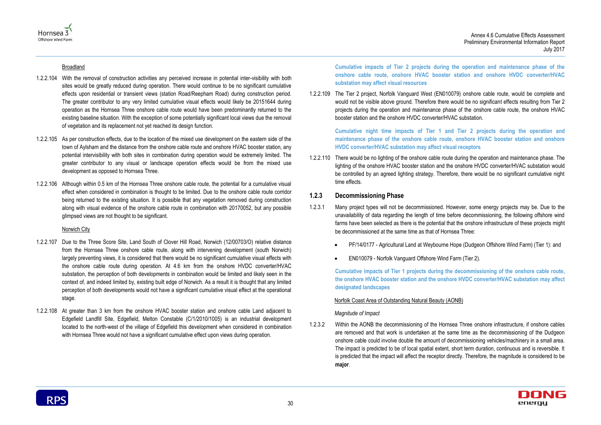Annex 4.6 Cumulative Effects Assessment Preliminary Environmental Information Report July 2017



#### Broadland

- 1.2.2.104 With the removal of construction activities any perceived increase in potential inter-visibility with both sites would be greatly reduced during operation. There would continue to be no significant cumulative effects upon residential or transient views (station Road/Reepham Road) during construction period. The greater contributor to any very limited cumulative visual effects would likely be 20151644 during operation as the Hornsea Three onshore cable route would have been predominantly returned to the existing baseline situation. With the exception of some potentially significant local views due the removal of vegetation and its replacement not yet reached its design function.
- 1.2.2.105 As per construction effects, due to the location of the mixed use development on the eastern side of the town of Aylsham and the distance from the onshore cable route and onshore HVAC booster station, any potential intervisibility with both sites in combination during operation would be extremely limited. The greater contributor to any visual or landscape operation effects would be from the mixed use development as opposed to Hornsea Three.
- 1.2.2.106 Although within 0.5 km of the Hornsea Three onshore cable route, the potential for a cumulative visual effect when considered in combination is thought to be limited. Due to the onshore cable route corridor being returned to the existing situation. It is possible that any vegetation removed during construction along with visual evidence of the onshore cable route in combination with 20170052, but any possible glimpsed views are not thought to be significant.

#### Norwich City

- 1.2.2.107 Due to the Three Score Site, Land South of Clover Hill Road, Norwich (12/00703/O) relative distance from the Hornsea Three onshore cable route, along with intervening development (south Norwich) largely preventing views, it is considered that there would be no significant cumulative visual effects with the onshore cable route during operation. At 4.6 km from the onshore HVDC converter/HVAC substation, the perception of both developments in combination would be limited and likely seen in the context of, and indeed limited by, existing built edge of Norwich. As a result it is thought that any limited perception of both developments would not have a significant cumulative visual effect at the operational stage.
- 1.2.2.108 At greater than 3 km from the onshore HVAC booster station and onshore cable Land adjacent to Edgefield Landfill Site, Edgefield, Melton Constable (C/1/2010/1005) is an industrial development located to the north-west of the village of Edgefield this development when considered in combination with Hornsea Three would not have a significant cumulative effect upon views during operation.

**Cumulative impacts of Tier 2 projects during the operation and maintenance phase of the onshore cable route, onshore HVAC booster station and onshore HVDC converter/HVAC substation may affect visual resources** 

1.2.2.109 The Tier 2 project, Norfolk Vanguard West (EN010079) onshore cable route, would be complete and would not be visible above ground. Therefore there would be no significant effects resulting from Tier 2 projects during the operation and maintenance phase of the onshore cable route, the onshore HVAC booster station and the onshore HVDC converter/HVAC substation.

**Cumulative night time impacts of Tier 1 and Tier 2 projects during the operation and maintenance phase of the onshore cable route, onshore HVAC booster station and onshore HVDC converter/HVAC substation may affect visual receptors**

1.2.2.110 There would be no lighting of the onshore cable route during the operation and maintenance phase. The lighting of the onshore HVAC booster station and the onshore HVDC converter/HVAC substation would be controlled by an agreed lighting strategy. Therefore, there would be no significant cumulative night time effects.

#### **1.2.3 Decommissioning Phase**

- 1.2.3.1 Many project types will not be decommissioned. However, some energy projects may be. Due to the unavailability of data regarding the length of time before decommissioning, the following offshore wind farms have been selected as there is the potential that the onshore infrastructure of these projects might be decommissioned at the same time as that of Hornsea Three:
	-
	- EN010079 Norfolk Vanguard Offshore Wind Farm (Tier 2).

PF/14/0177 - Agricultural Land at Weybourne Hope (Dudgeon Offshore Wind Farm) (Tier 1): and



**Cumulative impacts of Tier 1 projects during the decommissioning of the onshore cable route, the onshore HVAC booster station and the onshore HVDC converter/HVAC substation may affect designated landscapes**

### Norfolk Coast Area of Outstanding Natural Beauty (AONB)

#### *Magnitude of Impact*

1.2.3.2 Within the AONB the decommissioning of the Hornsea Three onshore infrastructure, if onshore cables are removed and that work is undertaken at the same time as the decommissioning of the Dudgeon onshore cable could involve double the amount of decommissioning vehicles/machinery in a small area. The impact is predicted to be of local spatial extent, short term duration, continuous and is reversible. It is predicted that the impact will affect the receptor directly. Therefore, the magnitude is considered to be **major**.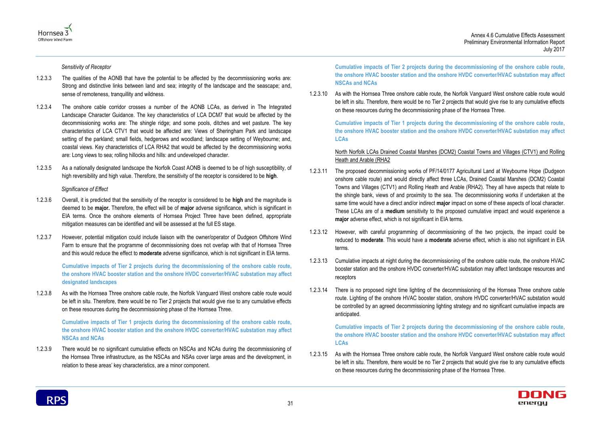



*Sensitivity of Receptor*

- 1.2.3.3 The qualities of the AONB that have the potential to be affected by the decommissioning works are: Strong and distinctive links between land and sea; integrity of the landscape and the seascape; and, sense of remoteness, tranquillity and wildness.
- 1.2.3.4 The onshore cable corridor crosses a number of the AONB LCAs, as derived in The Integrated Landscape Character Guidance. The key characteristics of LCA DCM7 that would be affected by the decommissioning works are: The shingle ridge; and some pools, ditches and wet pasture. The key characteristics of LCA CTV1 that would be affected are: Views of Sheringham Park and landscape setting of the parkland; small fields, hedgerows and woodland; landscape setting of Weybourne; and, coastal views. Key characteristics of LCA RHA2 that would be affected by the decommissioning works are: Long views to sea; rolling hillocks and hills: and undeveloped character.
- 1.2.3.5 As a nationally designated landscape the Norfolk Coast AONB is deemed to be of high susceptibility, of high reversibility and high value. Therefore, the sensitivity of the receptor is considered to be **high**.

*Significance of Effect*

- 1.2.3.6 Overall, it is predicted that the sensitivity of the receptor is considered to be **high** and the magnitude is deemed to be **major.** Therefore, the effect will be of **major** adverse significance, which is significant in EIA terms. Once the onshore elements of Hornsea Project Three have been defined, appropriate mitigation measures can be identified and will be assessed at the full ES stage.
- 1.2.3.7 However, potential mitigation could include liaison with the owner/operator of Dudgeon Offshore Wind Farm to ensure that the programme of decommissioning does not overlap with that of Hornsea Three and this would reduce the effect to **moderate** adverse significance, which is not significant in EIA terms.

**Cumulative impacts of Tier 2 projects during the decommissioning of the onshore cable route, the onshore HVAC booster station and the onshore HVDC converter/HVAC substation may affect designated landscapes**

1.2.3.8 As with the Hornsea Three onshore cable route, the Norfolk Vanguard West onshore cable route would be left in situ. Therefore, there would be no Tier 2 projects that would give rise to any cumulative effects on these resources during the decommissioning phase of the Hornsea Three.

**Cumulative impacts of Tier 1 projects during the decommissioning of the onshore cable route, the onshore HVAC booster station and the onshore HVDC converter/HVAC substation may affect NSCAs and NCAs**

1.2.3.9 There would be no significant cumulative effects on NSCAs and NCAs during the decommissioning of the Hornsea Three infrastructure, as the NSCAs and NSAs cover large areas and the development, in relation to these areas' key characteristics, are a minor component.

**Cumulative impacts of Tier 2 projects during the decommissioning of the onshore cable route, the onshore HVAC booster station and the onshore HVDC converter/HVAC substation may affect NSCAs and NCAs**

1.2.3.10 As with the Hornsea Three onshore cable route, the Norfolk Vanguard West onshore cable route would be left in situ. Therefore, there would be no Tier 2 projects that would give rise to any cumulative effects on these resources during the decommissioning phase of the Hornsea Three.

**Cumulative impacts of Tier 1 projects during the decommissioning of the onshore cable route, the onshore HVAC booster station and the onshore HVDC converter/HVAC substation may affect LCAs**

North Norfolk LCAs Drained Coastal Marshes (DCM2) Coastal Towns and Villages (CTV1) and Rolling Heath and Arable (RHA2

- 1.2.3.11 The proposed decommissioning works of PF/14/0177 Agricultural Land at Weybourne Hope (Dudgeon onshore cable route) and would directly affect three LCAs, Drained Coastal Marshes (DCM2) Coastal Towns and Villages (CTV1) and Rolling Heath and Arable (RHA2). They all have aspects that relate to the shingle bank, views of and proximity to the sea. The decommissioning works if undertaken at the same time would have a direct and/or indirect **major** impact on some of these aspects of local character. These LCAs are of a **medium** sensitivity to the proposed cumulative impact and would experience a **major** adverse effect, which is not significant in EIA terms.
- 1.2.3.12 However, with careful programming of decommissioning of the two projects, the impact could be reduced to **moderate**. This would have a **moderate** adverse effect, which is also not significant in EIA terms.
- 1.2.3.13 Cumulative impacts at night during the decommissioning of the onshore cable route, the onshore HVAC booster station and the onshore HVDC converter/HVAC substation may affect landscape resources and receptors
- 1.2.3.14 There is no proposed night time lighting of the decommissioning of the Hornsea Three onshore cable route. Lighting of the onshore HVAC booster station, onshore HVDC converter/HVAC substation would be controlled by an agreed decommissioning lighting strategy and no significant cumulative impacts are anticipated.

**Cumulative impacts of Tier 2 projects during the decommissioning of the onshore cable route, the onshore HVAC booster station and the onshore HVDC converter/HVAC substation may affect LCAs**

1.2.3.15 As with the Hornsea Three onshore cable route, the Norfolk Vanguard West onshore cable route would be left in situ. Therefore, there would be no Tier 2 projects that would give rise to any cumulative effects on these resources during the decommissioning phase of the Hornsea Three.